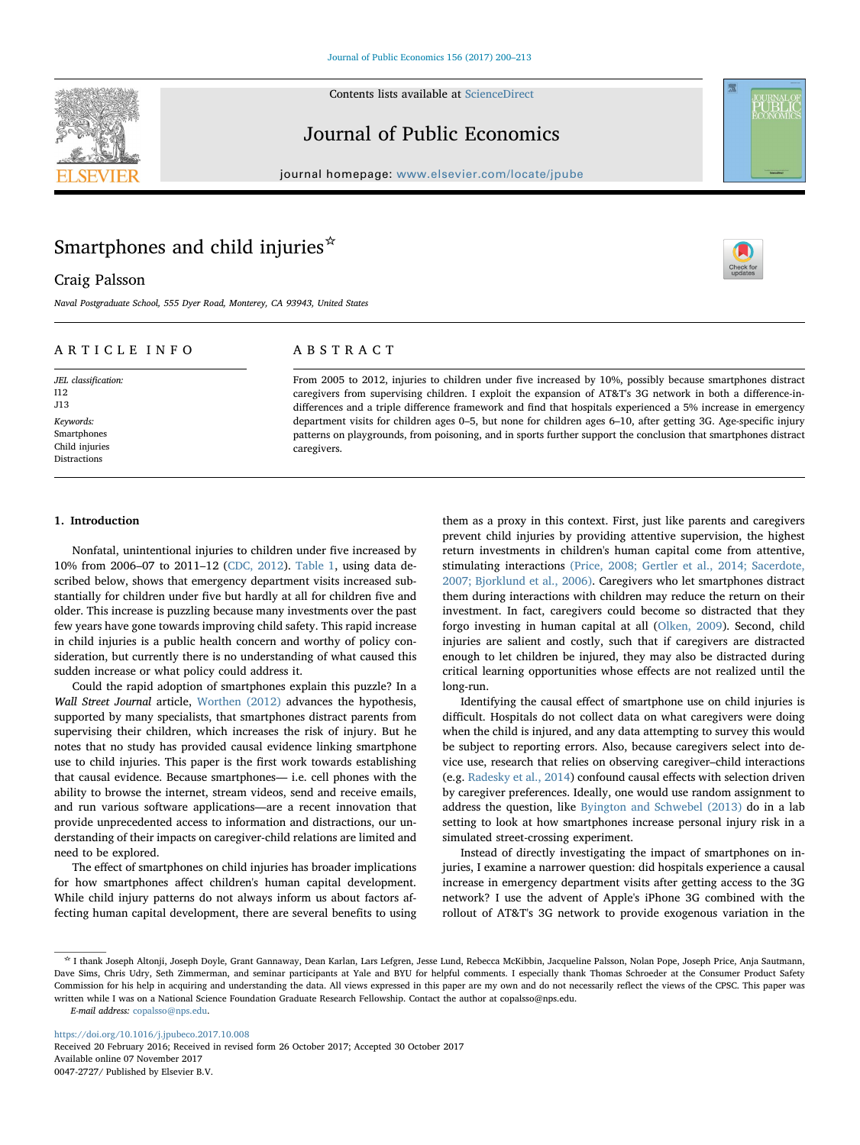Contents lists available at [ScienceDirect](http://www.sciencedirect.com/science/journal/00472727)

# Journal of Public Economics

journal homepage: [www.elsevier.com/locate/jpube](https://www.elsevier.com/locate/jpube)

# Smartphones and child injuries<sup>☆</sup>

Craig Palsson

Naval Postgraduate School, 555 Dyer Road, Monterey, CA 93943, United States

# ARTICLE INFO

JEL classification: I12 J13 Keywords: Smartphones Child injuries Distractions

# ABSTRACT

From 2005 to 2012, injuries to children under five increased by 10%, possibly because smartphones distract caregivers from supervising children. I exploit the expansion of AT&T's 3G network in both a difference-indifferences and a triple difference framework and find that hospitals experienced a 5% increase in emergency department visits for children ages 0–5, but none for children ages 6–10, after getting 3G. Age-specific injury patterns on playgrounds, from poisoning, and in sports further support the conclusion that smartphones distract caregivers.

#### 1. Introduction

Nonfatal, unintentional injuries to children under five increased by 10% from 2006–07 to 2011–12 ([CDC, 2012\)](#page-12-0). [Table 1,](#page-1-0) using data described below, shows that emergency department visits increased substantially for children under five but hardly at all for children five and older. This increase is puzzling because many investments over the past few years have gone towards improving child safety. This rapid increase in child injuries is a public health concern and worthy of policy consideration, but currently there is no understanding of what caused this sudden increase or what policy could address it.

Could the rapid adoption of smartphones explain this puzzle? In a Wall Street Journal article, [Worthen \(2012\)](#page-13-0) advances the hypothesis, supported by many specialists, that smartphones distract parents from supervising their children, which increases the risk of injury. But he notes that no study has provided causal evidence linking smartphone use to child injuries. This paper is the first work towards establishing that causal evidence. Because smartphones— i.e. cell phones with the ability to browse the internet, stream videos, send and receive emails, and run various software applications—are a recent innovation that provide unprecedented access to information and distractions, our understanding of their impacts on caregiver-child relations are limited and need to be explored.

The effect of smartphones on child injuries has broader implications for how smartphones affect children's human capital development. While child injury patterns do not always inform us about factors affecting human capital development, there are several benefits to using

them as a proxy in this context. First, just like parents and caregivers prevent child injuries by providing attentive supervision, the highest return investments in children's human capital come from attentive, stimulating interactions [\(Price, 2008; Gertler et al., 2014; Sacerdote,](#page-13-1) [2007; Bjorklund et al., 2006\)](#page-13-1). Caregivers who let smartphones distract them during interactions with children may reduce the return on their investment. In fact, caregivers could become so distracted that they forgo investing in human capital at all ([Olken, 2009](#page-13-2)). Second, child injuries are salient and costly, such that if caregivers are distracted enough to let children be injured, they may also be distracted during critical learning opportunities whose effects are not realized until the long-run.

Identifying the causal effect of smartphone use on child injuries is difficult. Hospitals do not collect data on what caregivers were doing when the child is injured, and any data attempting to survey this would be subject to reporting errors. Also, because caregivers select into device use, research that relies on observing caregiver–child interactions (e.g. [Radesky et al., 2014](#page-13-3)) confound causal effects with selection driven by caregiver preferences. Ideally, one would use random assignment to address the question, like [Byington and Schwebel \(2013\)](#page-12-1) do in a lab setting to look at how smartphones increase personal injury risk in a simulated street-crossing experiment.

Instead of directly investigating the impact of smartphones on injuries, I examine a narrower question: did hospitals experience a causal increase in emergency department visits after getting access to the 3G network? I use the advent of Apple's iPhone 3G combined with the rollout of AT&T's 3G network to provide exogenous variation in the

E-mail address: [copalsso@nps.edu.](mailto:copalsso@nps.edu)

<https://doi.org/10.1016/j.jpubeco.2017.10.008>

Received 20 February 2016; Received in revised form 26 October 2017; Accepted 30 October 2017 Available online 07 November 2017 0047-2727/ Published by Elsevier B.V.





**ÜBL** 

<sup>☆</sup> I thank Joseph Altonji, Joseph Doyle, Grant Gannaway, Dean Karlan, Lars Lefgren, Jesse Lund, Rebecca McKibbin, Jacqueline Palsson, Nolan Pope, Joseph Price, Anja Sautmann, Dave Sims, Chris Udry, Seth Zimmerman, and seminar participants at Yale and BYU for helpful comments. I especially thank Thomas Schroeder at the Consumer Product Safety Commission for his help in acquiring and understanding the data. All views expressed in this paper are my own and do not necessarily reflect the views of the CPSC. This paper was written while I was on a National Science Foundation Graduate Research Fellowship. Contact the author at copalsso@nps.edu.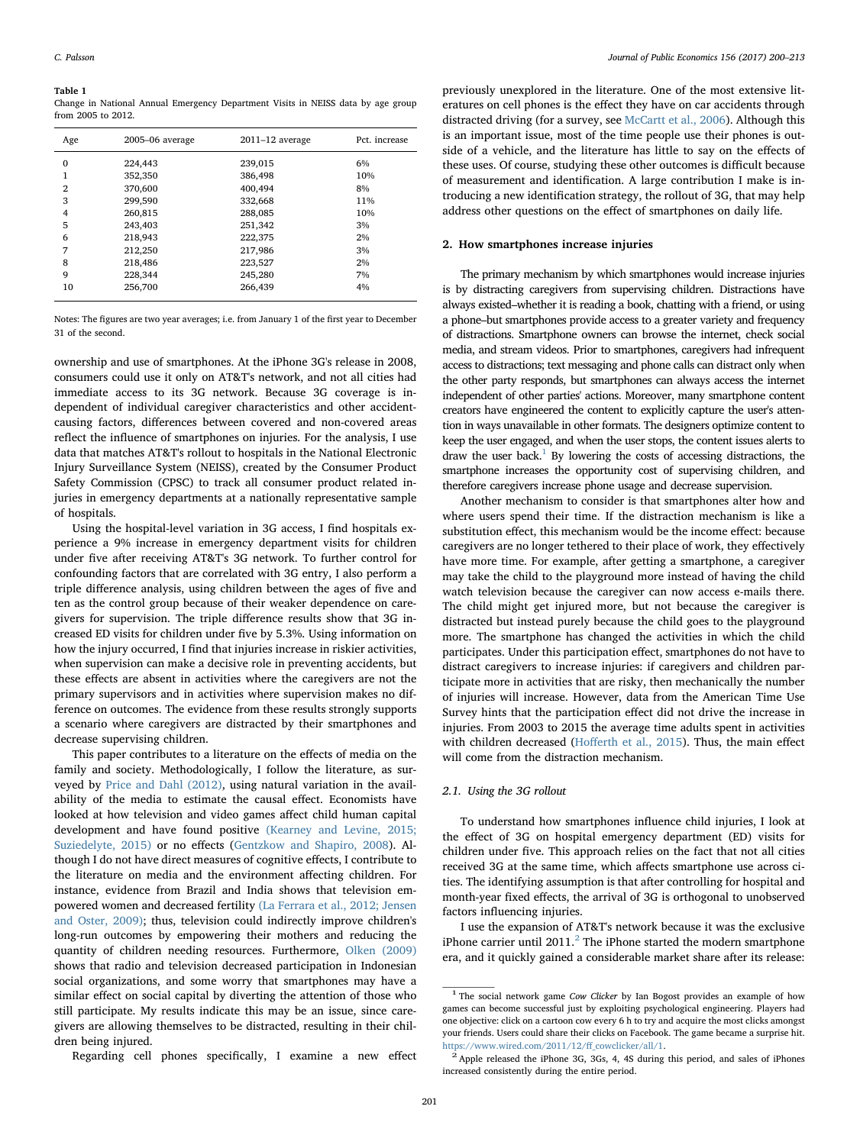# <span id="page-1-0"></span>Table 1

Change in National Annual Emergency Department Visits in NEISS data by age group from 2005 to 2012.

| Age            | 2005-06 average | $2011 - 12$ average | Pct. increase |
|----------------|-----------------|---------------------|---------------|
| $\mathbf 0$    | 224,443         | 239,015             | 6%            |
| 1              | 352,350         | 386,498             | 10%           |
| $\overline{2}$ | 370,600         | 400,494             | 8%            |
| 3              | 299,590         | 332,668             | 11%           |
| 4              | 260,815         | 288,085             | 10%           |
| 5              | 243,403         | 251,342             | 3%            |
| 6              | 218,943         | 222,375             | 2%            |
| 7              | 212,250         | 217,986             | 3%            |
| 8              | 218,486         | 223,527             | 2%            |
| 9              | 228,344         | 245,280             | 7%            |
| 10             | 256,700         | 266,439             | 4%            |

Notes: The figures are two year averages; i.e. from January 1 of the first year to December 31 of the second.

ownership and use of smartphones. At the iPhone 3G's release in 2008, consumers could use it only on AT&T's network, and not all cities had immediate access to its 3G network. Because 3G coverage is independent of individual caregiver characteristics and other accidentcausing factors, differences between covered and non-covered areas reflect the influence of smartphones on injuries. For the analysis, I use data that matches AT&T's rollout to hospitals in the National Electronic Injury Surveillance System (NEISS), created by the Consumer Product Safety Commission (CPSC) to track all consumer product related injuries in emergency departments at a nationally representative sample of hospitals.

Using the hospital-level variation in 3G access, I find hospitals experience a 9% increase in emergency department visits for children under five after receiving AT&T's 3G network. To further control for confounding factors that are correlated with 3G entry, I also perform a triple difference analysis, using children between the ages of five and ten as the control group because of their weaker dependence on caregivers for supervision. The triple difference results show that 3G increased ED visits for children under five by 5.3%. Using information on how the injury occurred, I find that injuries increase in riskier activities, when supervision can make a decisive role in preventing accidents, but these effects are absent in activities where the caregivers are not the primary supervisors and in activities where supervision makes no difference on outcomes. The evidence from these results strongly supports a scenario where caregivers are distracted by their smartphones and decrease supervising children.

This paper contributes to a literature on the effects of media on the family and society. Methodologically, I follow the literature, as surveyed by [Price and Dahl \(2012\),](#page-13-4) using natural variation in the availability of the media to estimate the causal effect. Economists have looked at how television and video games affect child human capital development and have found positive [\(Kearney and Levine, 2015;](#page-12-2) [Suziedelyte, 2015\)](#page-12-2) or no effects [\(Gentzkow and Shapiro, 2008](#page-12-3)). Although I do not have direct measures of cognitive effects, I contribute to the literature on media and the environment affecting children. For instance, evidence from Brazil and India shows that television empowered women and decreased fertility [\(La Ferrara et al., 2012; Jensen](#page-12-4) [and Oster, 2009\)](#page-12-4); thus, television could indirectly improve children's long-run outcomes by empowering their mothers and reducing the quantity of children needing resources. Furthermore, [Olken \(2009\)](#page-13-2) shows that radio and television decreased participation in Indonesian social organizations, and some worry that smartphones may have a similar effect on social capital by diverting the attention of those who still participate. My results indicate this may be an issue, since caregivers are allowing themselves to be distracted, resulting in their children being injured.

Regarding cell phones specifically, I examine a new effect

previously unexplored in the literature. One of the most extensive literatures on cell phones is the effect they have on car accidents through distracted driving (for a survey, see [McCartt et al., 2006\)](#page-12-5). Although this is an important issue, most of the time people use their phones is outside of a vehicle, and the literature has little to say on the effects of these uses. Of course, studying these other outcomes is difficult because of measurement and identification. A large contribution I make is introducing a new identification strategy, the rollout of 3G, that may help address other questions on the effect of smartphones on daily life.

#### <span id="page-1-3"></span>2. How smartphones increase injuries

The primary mechanism by which smartphones would increase injuries is by distracting caregivers from supervising children. Distractions have always existed–whether it is reading a book, chatting with a friend, or using a phone–but smartphones provide access to a greater variety and frequency of distractions. Smartphone owners can browse the internet, check social media, and stream videos. Prior to smartphones, caregivers had infrequent access to distractions; text messaging and phone calls can distract only when the other party responds, but smartphones can always access the internet independent of other parties' actions. Moreover, many smartphone content creators have engineered the content to explicitly capture the user's attention in ways unavailable in other formats. The designers optimize content to keep the user engaged, and when the user stops, the content issues alerts to draw the user back.<sup>1</sup> By lowering the costs of accessing distractions, the smartphone increases the opportunity cost of supervising children, and therefore caregivers increase phone usage and decrease supervision.

Another mechanism to consider is that smartphones alter how and where users spend their time. If the distraction mechanism is like a substitution effect, this mechanism would be the income effect: because caregivers are no longer tethered to their place of work, they effectively have more time. For example, after getting a smartphone, a caregiver may take the child to the playground more instead of having the child watch television because the caregiver can now access e-mails there. The child might get injured more, but not because the caregiver is distracted but instead purely because the child goes to the playground more. The smartphone has changed the activities in which the child participates. Under this participation effect, smartphones do not have to distract caregivers to increase injuries: if caregivers and children participate more in activities that are risky, then mechanically the number of injuries will increase. However, data from the American Time Use Survey hints that the participation effect did not drive the increase in injuries. From 2003 to 2015 the average time adults spent in activities with children decreased (Hoff[erth et al., 2015\)](#page-12-6). Thus, the main effect will come from the distraction mechanism.

#### <span id="page-1-4"></span>2.1. Using the 3G rollout

To understand how smartphones influence child injuries, I look at the effect of 3G on hospital emergency department (ED) visits for children under five. This approach relies on the fact that not all cities received 3G at the same time, which affects smartphone use across cities. The identifying assumption is that after controlling for hospital and month-year fixed effects, the arrival of 3G is orthogonal to unobserved factors influencing injuries.

I use the expansion of AT&T's network because it was the exclusive iPhone carrier until  $2011<sup>2</sup>$  $2011<sup>2</sup>$  The iPhone started the modern smartphone era, and it quickly gained a considerable market share after its release:

<span id="page-1-1"></span><sup>&</sup>lt;sup>1</sup> The social network game Cow Clicker by Ian Bogost provides an example of how games can become successful just by exploiting psychological engineering. Players had one objective: click on a cartoon cow every 6 h to try and acquire the most clicks amongst your friends. Users could share their clicks on Facebook. The game became a surprise hit. [https://www.wired.com/2011/12/](https://www.wired.com/2011/12/ff_cowclicker/all/1)ff\_cowclicker/all/1. <sup>2</sup> Apple released the iPhone 3G, 3Gs, 4, 4S during this period, and sales of iPhones

<span id="page-1-2"></span>increased consistently during the entire period.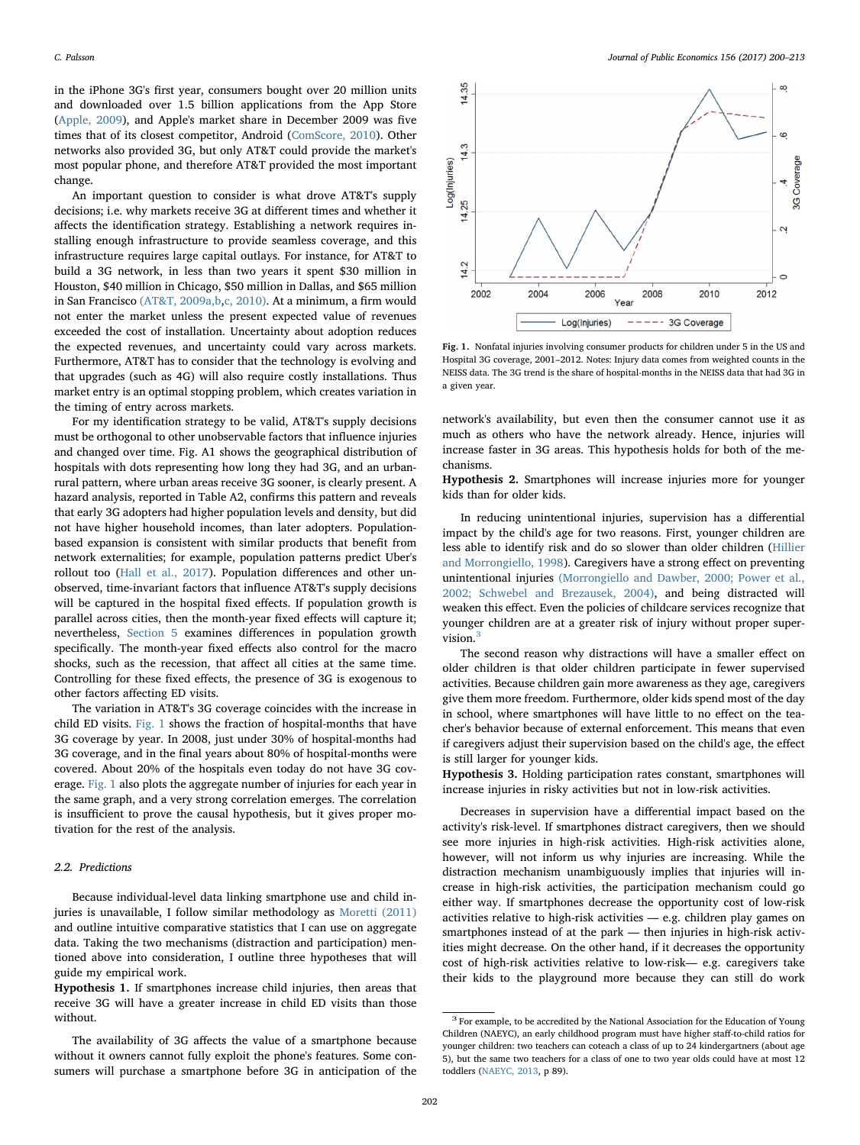in the iPhone 3G's first year, consumers bought over 20 million units and downloaded over 1.5 billion applications from the App Store ([Apple, 2009\)](#page-12-7), and Apple's market share in December 2009 was five times that of its closest competitor, Android ([ComScore, 2010](#page-12-8)). Other networks also provided 3G, but only AT&T could provide the market's most popular phone, and therefore AT&T provided the most important change.

An important question to consider is what drove AT&T's supply decisions; i.e. why markets receive 3G at different times and whether it affects the identification strategy. Establishing a network requires installing enough infrastructure to provide seamless coverage, and this infrastructure requires large capital outlays. For instance, for AT&T to build a 3G network, in less than two years it spent \$30 million in Houston, \$40 million in Chicago, \$50 million in Dallas, and \$65 million in San Francisco [\(AT&T, 2009a,b](#page-12-9),[c, 2010\)](#page-12-10). At a minimum, a firm would not enter the market unless the present expected value of revenues exceeded the cost of installation. Uncertainty about adoption reduces the expected revenues, and uncertainty could vary across markets. Furthermore, AT&T has to consider that the technology is evolving and that upgrades (such as 4G) will also require costly installations. Thus market entry is an optimal stopping problem, which creates variation in the timing of entry across markets.

For my identification strategy to be valid, AT&T's supply decisions must be orthogonal to other unobservable factors that influence injuries and changed over time. Fig. A1 shows the geographical distribution of hospitals with dots representing how long they had 3G, and an urbanrural pattern, where urban areas receive 3G sooner, is clearly present. A hazard analysis, reported in Table A2, confirms this pattern and reveals that early 3G adopters had higher population levels and density, but did not have higher household incomes, than later adopters. Populationbased expansion is consistent with similar products that benefit from network externalities; for example, population patterns predict Uber's rollout too [\(Hall et al., 2017\)](#page-12-11). Population differences and other unobserved, time-invariant factors that influence AT&T's supply decisions will be captured in the hospital fixed effects. If population growth is parallel across cities, then the month-year fixed effects will capture it; nevertheless, [Section 5](#page-7-0) examines differences in population growth specifically. The month-year fixed effects also control for the macro shocks, such as the recession, that affect all cities at the same time. Controlling for these fixed effects, the presence of 3G is exogenous to other factors affecting ED visits.

The variation in AT&T's 3G coverage coincides with the increase in child ED visits. [Fig. 1](#page-2-0) shows the fraction of hospital-months that have 3G coverage by year. In 2008, just under 30% of hospital-months had 3G coverage, and in the final years about 80% of hospital-months were covered. About 20% of the hospitals even today do not have 3G coverage. [Fig. 1](#page-2-0) also plots the aggregate number of injuries for each year in the same graph, and a very strong correlation emerges. The correlation is insufficient to prove the causal hypothesis, but it gives proper motivation for the rest of the analysis.

# <span id="page-2-2"></span>2.2. Predictions

Because individual-level data linking smartphone use and child injuries is unavailable, I follow similar methodology as [Moretti \(2011\)](#page-12-12) and outline intuitive comparative statistics that I can use on aggregate data. Taking the two mechanisms (distraction and participation) mentioned above into consideration, I outline three hypotheses that will guide my empirical work.

Hypothesis 1. If smartphones increase child injuries, then areas that receive 3G will have a greater increase in child ED visits than those without.

The availability of 3G affects the value of a smartphone because without it owners cannot fully exploit the phone's features. Some consumers will purchase a smartphone before 3G in anticipation of the

<span id="page-2-0"></span>

Fig. 1. Nonfatal injuries involving consumer products for children under 5 in the US and Hospital 3G coverage, 2001–2012. Notes: Injury data comes from weighted counts in the NEISS data. The 3G trend is the share of hospital-months in the NEISS data that had 3G in a given year.

network's availability, but even then the consumer cannot use it as much as others who have the network already. Hence, injuries will increase faster in 3G areas. This hypothesis holds for both of the mechanisms.

<span id="page-2-3"></span>Hypothesis 2. Smartphones will increase injuries more for younger kids than for older kids.

In reducing unintentional injuries, supervision has a differential impact by the child's age for two reasons. First, younger children are less able to identify risk and do so slower than older children [\(Hillier](#page-12-13) [and Morrongiello, 1998](#page-12-13)). Caregivers have a strong effect on preventing unintentional injuries [\(Morrongiello and Dawber, 2000; Power et al.,](#page-12-14) [2002; Schwebel and Brezausek, 2004\)](#page-12-14), and being distracted will weaken this effect. Even the policies of childcare services recognize that younger children are at a greater risk of injury without proper super-vision.<sup>[3](#page-2-1)</sup>

The second reason why distractions will have a smaller effect on older children is that older children participate in fewer supervised activities. Because children gain more awareness as they age, caregivers give them more freedom. Furthermore, older kids spend most of the day in school, where smartphones will have little to no effect on the teacher's behavior because of external enforcement. This means that even if caregivers adjust their supervision based on the child's age, the effect is still larger for younger kids.

Hypothesis 3. Holding participation rates constant, smartphones will increase injuries in risky activities but not in low-risk activities.

Decreases in supervision have a differential impact based on the activity's risk-level. If smartphones distract caregivers, then we should see more injuries in high-risk activities. High-risk activities alone, however, will not inform us why injuries are increasing. While the distraction mechanism unambiguously implies that injuries will increase in high-risk activities, the participation mechanism could go either way. If smartphones decrease the opportunity cost of low-risk activities relative to high-risk activities — e.g. children play games on smartphones instead of at the park — then injuries in high-risk activities might decrease. On the other hand, if it decreases the opportunity cost of high-risk activities relative to low-risk— e.g. caregivers take their kids to the playground more because they can still do work

<span id="page-2-1"></span> $^3$  For example, to be accredited by the National Association for the Education of Young Children (NAEYC), an early childhood program must have higher staff-to-child ratios for younger children: two teachers can coteach a class of up to 24 kindergartners (about age 5), but the same two teachers for a class of one to two year olds could have at most 12 toddlers ([NAEYC, 2013,](#page-12-15) p 89).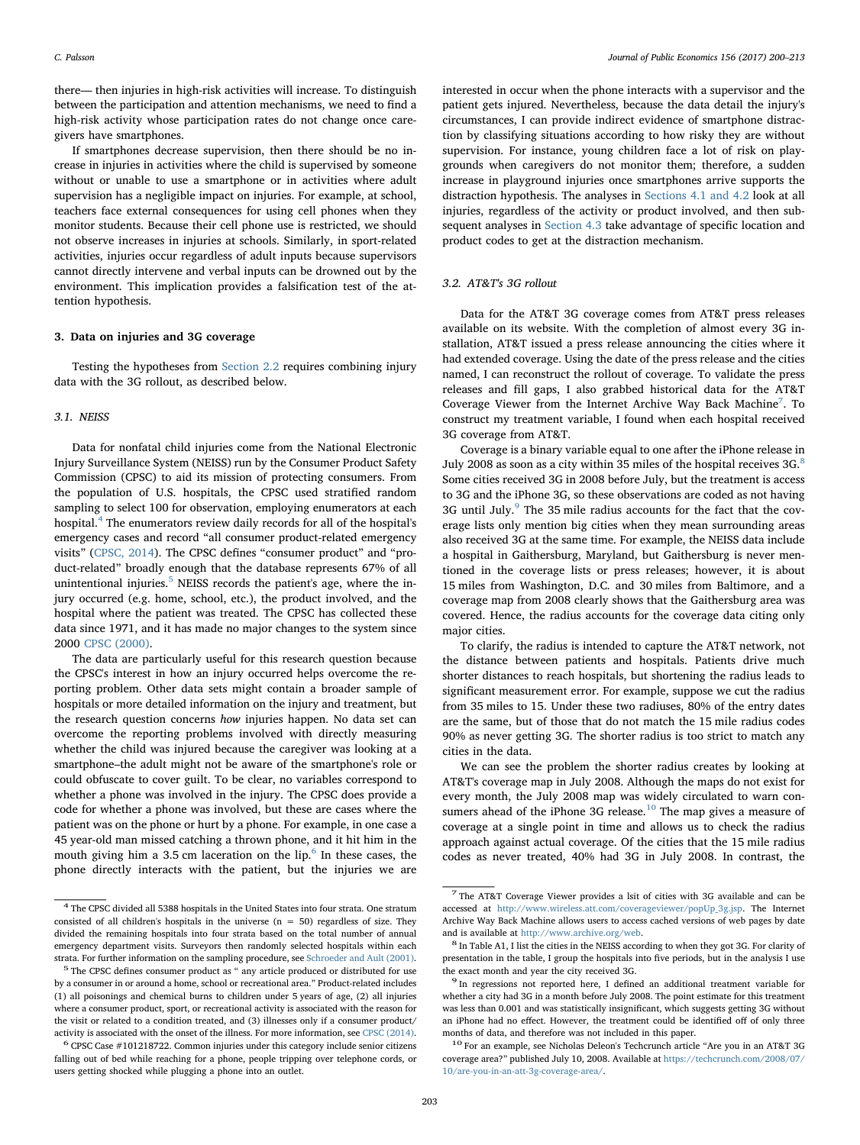there— then injuries in high-risk activities will increase. To distinguish between the participation and attention mechanisms, we need to find a high-risk activity whose participation rates do not change once caregivers have smartphones.

If smartphones decrease supervision, then there should be no increase in injuries in activities where the child is supervised by someone without or unable to use a smartphone or in activities where adult supervision has a negligible impact on injuries. For example, at school, teachers face external consequences for using cell phones when they monitor students. Because their cell phone use is restricted, we should not observe increases in injuries at schools. Similarly, in sport-related activities, injuries occur regardless of adult inputs because supervisors cannot directly intervene and verbal inputs can be drowned out by the environment. This implication provides a falsification test of the attention hypothesis.

#### 3. Data on injuries and 3G coverage

Testing the hypotheses from [Section 2.2](#page-2-2) requires combining injury data with the 3G rollout, as described below.

# 3.1. NEISS

Data for nonfatal child injuries come from the National Electronic Injury Surveillance System (NEISS) run by the Consumer Product Safety Commission (CPSC) to aid its mission of protecting consumers. From the population of U.S. hospitals, the CPSC used stratified random sampling to select 100 for observation, employing enumerators at each hospital.[4](#page-3-0) The enumerators review daily records for all of the hospital's emergency cases and record "all consumer product-related emergency visits" [\(CPSC, 2014\)](#page-12-16). The CPSC defines "consumer product" and "product-related" broadly enough that the database represents 67% of all unintentional injuries. $5$  NEISS records the patient's age, where the injury occurred (e.g. home, school, etc.), the product involved, and the hospital where the patient was treated. The CPSC has collected these data since 1971, and it has made no major changes to the system since 2000 [CPSC \(2000\).](#page-12-17)

The data are particularly useful for this research question because the CPSC's interest in how an injury occurred helps overcome the reporting problem. Other data sets might contain a broader sample of hospitals or more detailed information on the injury and treatment, but the research question concerns how injuries happen. No data set can overcome the reporting problems involved with directly measuring whether the child was injured because the caregiver was looking at a smartphone–the adult might not be aware of the smartphone's role or could obfuscate to cover guilt. To be clear, no variables correspond to whether a phone was involved in the injury. The CPSC does provide a code for whether a phone was involved, but these are cases where the patient was on the phone or hurt by a phone. For example, in one case a 45 year-old man missed catching a thrown phone, and it hit him in the mouth giving him a 3.5 cm laceration on the  $lip<sup>6</sup>$  $lip<sup>6</sup>$  $lip<sup>6</sup>$  In these cases, the phone directly interacts with the patient, but the injuries we are

interested in occur when the phone interacts with a supervisor and the patient gets injured. Nevertheless, because the data detail the injury's circumstances, I can provide indirect evidence of smartphone distraction by classifying situations according to how risky they are without supervision. For instance, young children face a lot of risk on playgrounds when caregivers do not monitor them; therefore, a sudden increase in playground injuries once smartphones arrive supports the distraction hypothesis. The analyses in [Sections 4.1 and 4.2](#page-4-0) look at all injuries, regardless of the activity or product involved, and then subsequent analyses in [Section 4.3](#page-6-0) take advantage of specific location and product codes to get at the distraction mechanism.

## <span id="page-3-7"></span>3.2. AT&T's 3G rollout

Data for the AT&T 3G coverage comes from AT&T press releases available on its website. With the completion of almost every 3G installation, AT&T issued a press release announcing the cities where it had extended coverage. Using the date of the press release and the cities named, I can reconstruct the rollout of coverage. To validate the press releases and fill gaps, I also grabbed historical data for the AT&T Coverage Viewer from the Internet Archive Way Back Machine<sup>[7](#page-3-3)</sup>. To construct my treatment variable, I found when each hospital received 3G coverage from AT&T.

Coverage is a binary variable equal to one after the iPhone release in July 200[8](#page-3-4) as soon as a city within 35 miles of the hospital receives 3G.<sup>8</sup> Some cities received 3G in 2008 before July, but the treatment is access to 3G and the iPhone 3G, so these observations are coded as not having 3G until July.<sup>[9](#page-3-5)</sup> The 35 mile radius accounts for the fact that the coverage lists only mention big cities when they mean surrounding areas also received 3G at the same time. For example, the NEISS data include a hospital in Gaithersburg, Maryland, but Gaithersburg is never mentioned in the coverage lists or press releases; however, it is about 15 miles from Washington, D.C. and 30 miles from Baltimore, and a coverage map from 2008 clearly shows that the Gaithersburg area was covered. Hence, the radius accounts for the coverage data citing only major cities.

To clarify, the radius is intended to capture the AT&T network, not the distance between patients and hospitals. Patients drive much shorter distances to reach hospitals, but shortening the radius leads to significant measurement error. For example, suppose we cut the radius from 35 miles to 15. Under these two radiuses, 80% of the entry dates are the same, but of those that do not match the 15 mile radius codes 90% as never getting 3G. The shorter radius is too strict to match any cities in the data.

We can see the problem the shorter radius creates by looking at AT&T's coverage map in July 2008. Although the maps do not exist for every month, the July 2008 map was widely circulated to warn con-sumers ahead of the iPhone 3G release.<sup>[10](#page-3-6)</sup> The map gives a measure of coverage at a single point in time and allows us to check the radius approach against actual coverage. Of the cities that the 15 mile radius codes as never treated, 40% had 3G in July 2008. In contrast, the

<span id="page-3-0"></span><sup>4</sup> The CPSC divided all 5388 hospitals in the United States into four strata. One stratum consisted of all children's hospitals in the universe  $(n = 50)$  regardless of size. They divided the remaining hospitals into four strata based on the total number of annual emergency department visits. Surveyors then randomly selected hospitals within each

<span id="page-3-1"></span>strata. For further information on the sampling procedure, see [Schroeder and Ault \(2001\).](#page-13-5) <sup>5</sup> The CPSC defines consumer product as " any article produced or distributed for use by a consumer in or around a home, school or recreational area." Product-related includes (1) all poisonings and chemical burns to children under 5 years of age, (2) all injuries where a consumer product, sport, or recreational activity is associated with the reason for the visit or related to a condition treated, and (3) illnesses only if a consumer product/

<span id="page-3-2"></span>activity is associated with the onset of the illness. For more information, see [CPSC \(2014\).](#page-12-16)<br><sup>6</sup> CPSC Case #101218722. Common injuries under this category include senior citizens falling out of bed while reaching for a phone, people tripping over telephone cords, or users getting shocked while plugging a phone into an outlet.

<span id="page-3-3"></span><sup>7</sup> The AT&T Coverage Viewer provides a lsit of cities with 3G available and can be accessed at [http://www.wireless.att.com/coverageviewer/popUp\\_3g.jsp](http://www.wireless.att.com/coverageviewer/popUp_3g.jsp). The Internet Archive Way Back Machine allows users to access cached versions of web pages by date

<span id="page-3-4"></span>and is available at [http://www.archive.org/web.](http://www.archive.org/web)  $^{\rm 8}$  In Table A1, I list the cities in the NEISS according to when they got 3G. For clarity of presentation in the table, I group the hospitals into five periods, but in the analysis I use the exact month and year the city received 3G.  $^\mathrm{9}$  In regressions not reported here, I defined an additional treatment variable for

<span id="page-3-5"></span>whether a city had 3G in a month before July 2008. The point estimate for this treatment was less than 0.001 and was statistically insignificant, which suggests getting 3G without an iPhone had no effect. However, the treatment could be identified off of only three months of data, and therefore was not included in this paper.  $10\,$  For an example, see Nicholas Deleon's Techcrunch article "Are you in an AT&T 3G

<span id="page-3-6"></span>coverage area?" published July 10, 2008. Available at [https://techcrunch.com/2008/07/](https://techcrunch.com/2008/07/10/are-you-in-an-att-3g-coverage-area/) [10/are-you-in-an-att-3g-coverage-area/.](https://techcrunch.com/2008/07/10/are-you-in-an-att-3g-coverage-area/)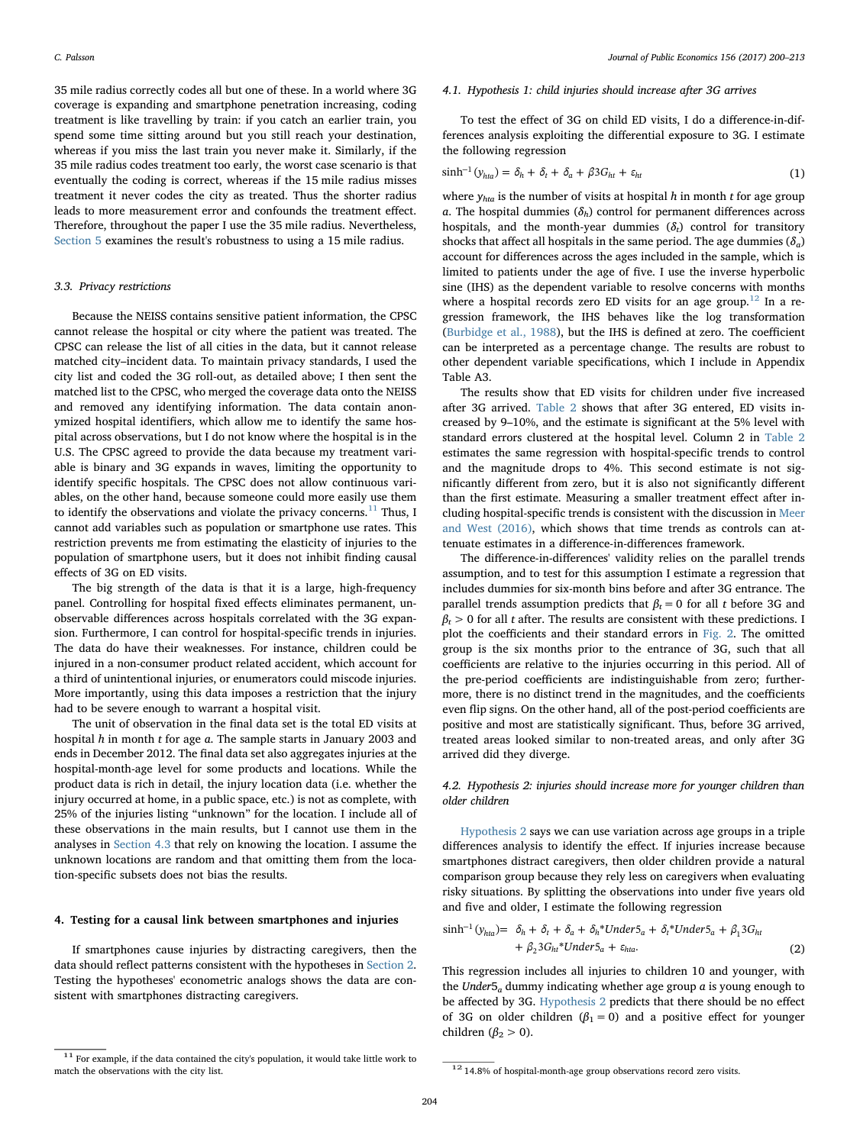35 mile radius correctly codes all but one of these. In a world where 3G coverage is expanding and smartphone penetration increasing, coding treatment is like travelling by train: if you catch an earlier train, you spend some time sitting around but you still reach your destination, whereas if you miss the last train you never make it. Similarly, if the 35 mile radius codes treatment too early, the worst case scenario is that eventually the coding is correct, whereas if the 15 mile radius misses treatment it never codes the city as treated. Thus the shorter radius leads to more measurement error and confounds the treatment effect. Therefore, throughout the paper I use the 35 mile radius. Nevertheless, [Section 5](#page-7-0) examines the result's robustness to using a 15 mile radius.

#### 3.3. Privacy restrictions

Because the NEISS contains sensitive patient information, the CPSC cannot release the hospital or city where the patient was treated. The CPSC can release the list of all cities in the data, but it cannot release matched city–incident data. To maintain privacy standards, I used the city list and coded the 3G roll-out, as detailed above; I then sent the matched list to the CPSC, who merged the coverage data onto the NEISS and removed any identifying information. The data contain anonymized hospital identifiers, which allow me to identify the same hospital across observations, but I do not know where the hospital is in the U.S. The CPSC agreed to provide the data because my treatment variable is binary and 3G expands in waves, limiting the opportunity to identify specific hospitals. The CPSC does not allow continuous variables, on the other hand, because someone could more easily use them to identify the observations and violate the privacy concerns. $^{11}$  $^{11}$  $^{11}$  Thus, I cannot add variables such as population or smartphone use rates. This restriction prevents me from estimating the elasticity of injuries to the population of smartphone users, but it does not inhibit finding causal effects of 3G on ED visits.

The big strength of the data is that it is a large, high-frequency panel. Controlling for hospital fixed effects eliminates permanent, unobservable differences across hospitals correlated with the 3G expansion. Furthermore, I can control for hospital-specific trends in injuries. The data do have their weaknesses. For instance, children could be injured in a non-consumer product related accident, which account for a third of unintentional injuries, or enumerators could miscode injuries. More importantly, using this data imposes a restriction that the injury had to be severe enough to warrant a hospital visit.

The unit of observation in the final data set is the total ED visits at hospital  $h$  in month  $t$  for age  $a$ . The sample starts in January 2003 and ends in December 2012. The final data set also aggregates injuries at the hospital-month-age level for some products and locations. While the product data is rich in detail, the injury location data (i.e. whether the injury occurred at home, in a public space, etc.) is not as complete, with 25% of the injuries listing "unknown" for the location. I include all of these observations in the main results, but I cannot use them in the analyses in [Section 4.3](#page-6-0) that rely on knowing the location. I assume the unknown locations are random and that omitting them from the location-specific subsets does not bias the results.

#### 4. Testing for a causal link between smartphones and injuries

If smartphones cause injuries by distracting caregivers, then the data should reflect patterns consistent with the hypotheses in [Section 2](#page-1-3). Testing the hypotheses' econometric analogs shows the data are consistent with smartphones distracting caregivers.

#### <span id="page-4-0"></span>4.1. Hypothesis 1: child injuries should increase after 3G arrives

To test the effect of 3G on child ED visits, I do a difference-in-differences analysis exploiting the differential exposure to 3G. I estimate the following regression

$$
\sinh^{-1}(y_{hta}) = \delta_h + \delta_t + \delta_a + \beta 3G_{ht} + \varepsilon_{ht} \tag{1}
$$

where  $y_{hta}$  is the number of visits at hospital h in month t for age group a. The hospital dummies ( $\delta_h$ ) control for permanent differences across hospitals, and the month-year dummies  $(\delta_t)$  control for transitory shocks that affect all hospitals in the same period. The age dummies  $(\delta_a)$ account for differences across the ages included in the sample, which is limited to patients under the age of five. I use the inverse hyperbolic sine (IHS) as the dependent variable to resolve concerns with months where a hospital records zero ED visits for an age group.<sup>[12](#page-4-2)</sup> In a regression framework, the IHS behaves like the log transformation ([Burbidge et al., 1988](#page-12-18)), but the IHS is defined at zero. The coefficient can be interpreted as a percentage change. The results are robust to other dependent variable specifications, which I include in Appendix Table A3.

The results show that ED visits for children under five increased after 3G arrived. [Table 2](#page-5-0) shows that after 3G entered, ED visits increased by 9–10%, and the estimate is significant at the 5% level with standard errors clustered at the hospital level. Column 2 in [Table 2](#page-5-0) estimates the same regression with hospital-specific trends to control and the magnitude drops to 4%. This second estimate is not significantly different from zero, but it is also not significantly different than the first estimate. Measuring a smaller treatment effect after including hospital-specific trends is consistent with the discussion in [Meer](#page-12-19) [and West \(2016\),](#page-12-19) which shows that time trends as controls can attenuate estimates in a difference-in-differences framework.

The difference-in-differences' validity relies on the parallel trends assumption, and to test for this assumption I estimate a regression that includes dummies for six-month bins before and after 3G entrance. The parallel trends assumption predicts that  $\beta_t = 0$  for all t before 3G and  $\beta_t > 0$  for all t after. The results are consistent with these predictions. I plot the coefficients and their standard errors in [Fig. 2](#page-5-1). The omitted group is the six months prior to the entrance of 3G, such that all coefficients are relative to the injuries occurring in this period. All of the pre-period coefficients are indistinguishable from zero; furthermore, there is no distinct trend in the magnitudes, and the coefficients even flip signs. On the other hand, all of the post-period coefficients are positive and most are statistically significant. Thus, before 3G arrived, treated areas looked similar to non-treated areas, and only after 3G arrived did they diverge.

# 4.2. Hypothesis 2: injuries should increase more for younger children than older children

[Hypothesis 2](#page-2-3) says we can use variation across age groups in a triple differences analysis to identify the effect. If injuries increase because smartphones distract caregivers, then older children provide a natural comparison group because they rely less on caregivers when evaluating risky situations. By splitting the observations into under five years old and five and older, I estimate the following regression

$$
\sinh^{-1}(y_{hta}) = \delta_h + \delta_t + \delta_a + \delta_h * \text{Under5}_a + \delta_t * \text{Under5}_a + \beta_1 3G_{ht} + \beta_2 3G_{ht} * \text{Under5}_a + \varepsilon_{hta}.
$$
 (2)

This regression includes all injuries to children 10 and younger, with the Under $5_a$  dummy indicating whether age group  $a$  is young enough to be affected by 3G. [Hypothesis 2](#page-2-3) predicts that there should be no effect of 3G on older children ( $\beta_1 = 0$ ) and a positive effect for younger children ( $\beta_2 > 0$ ).

<span id="page-4-1"></span><sup>&</sup>lt;sup>11</sup> For example, if the data contained the city's population, it would take little work to match the observations with the city list. 12 14.8% of hospital-month-age group observations record zero visits.

<span id="page-4-2"></span>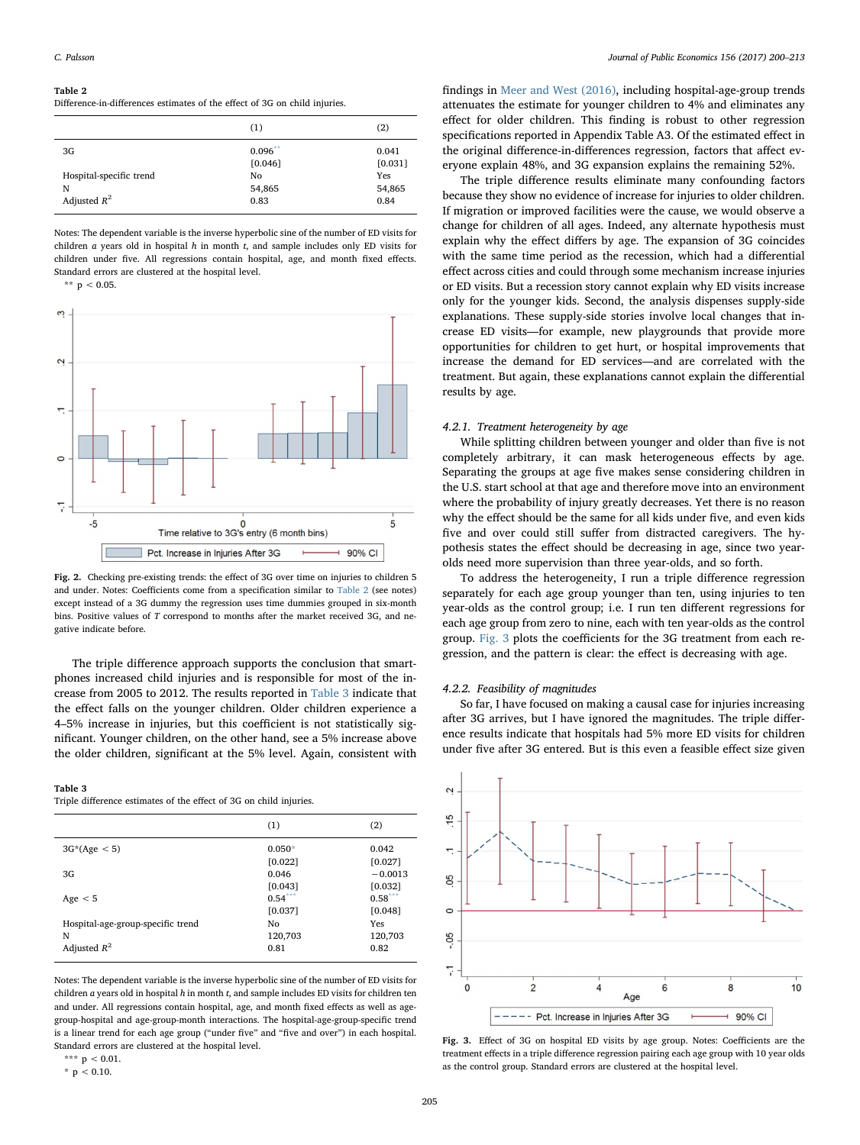#### <span id="page-5-0"></span>Table 2

Difference-in-differences estimates of the effect of 3G on child injuries.

|                         | (1)        | (2)     |
|-------------------------|------------|---------|
| 3G                      | $0.096$ ** | 0.041   |
|                         | [0.046]    | [0.031] |
| Hospital-specific trend | No         | Yes     |
| N                       | 54,865     | 54,865  |
| Adjusted $R^2$          | 0.83       | 0.84    |

Notes: The dependent variable is the inverse hyperbolic sine of the number of ED visits for children  $a$  years old in hospital  $h$  in month  $t$ , and sample includes only ED visits for children under five. All regressions contain hospital, age, and month fixed effects. Standard errors are clustered at the hospital level.

<span id="page-5-4"></span>\*\*  $p < 0.05$ .

<span id="page-5-1"></span>

Fig. 2. Checking pre-existing trends: the effect of 3G over time on injuries to children 5 and under. Notes: Coefficients come from a specification similar to [Table 2](#page-5-0) (see notes) except instead of a 3G dummy the regression uses time dummies grouped in six-month bins. Positive values of T correspond to months after the market received 3G, and negative indicate before.

The triple difference approach supports the conclusion that smartphones increased child injuries and is responsible for most of the increase from 2005 to 2012. The results reported in [Table 3](#page-5-2) indicate that the effect falls on the younger children. Older children experience a 4–5% increase in injuries, but this coefficient is not statistically significant. Younger children, on the other hand, see a 5% increase above the older children, significant at the 5% level. Again, consistent with

#### <span id="page-5-2"></span>Table 3

Triple difference estimates of the effect of 3G on child injuries.

|                                   | (1)       | (2)       |
|-----------------------------------|-----------|-----------|
| $3G*(Age < 5)$                    | $0.050*$  | 0.042     |
|                                   | [0.022]   | [0.027]   |
| 3G                                | 0.046     | $-0.0013$ |
|                                   | [0.043]   | [0.032]   |
| Age $< 5$                         | $0.54***$ | $0.58***$ |
|                                   | [0.037]   | [0.048]   |
| Hospital-age-group-specific trend | Nο        | Yes       |
| N                                 | 120,703   | 120,703   |
| Adjusted $R^2$                    | 0.81      | 0.82      |

Notes: The dependent variable is the inverse hyperbolic sine of the number of ED visits for children  $a$  years old in hospital  $h$  in month  $t$ , and sample includes ED visits for children ten and under. All regressions contain hospital, age, and month fixed effects as well as agegroup-hospital and age-group-month interactions. The hospital-age-group-specific trend is a linear trend for each age group ("under five" and "five and over") in each hospital. Standard errors are clustered at the hospital level.

<span id="page-5-5"></span> $*$  p < 0.10.

findings in [Meer and West \(2016\),](#page-12-19) including hospital-age-group trends attenuates the estimate for younger children to 4% and eliminates any effect for older children. This finding is robust to other regression specifications reported in Appendix Table A3. Of the estimated effect in the original difference-in-differences regression, factors that affect everyone explain 48%, and 3G expansion explains the remaining 52%.

The triple difference results eliminate many confounding factors because they show no evidence of increase for injuries to older children. If migration or improved facilities were the cause, we would observe a change for children of all ages. Indeed, any alternate hypothesis must explain why the effect differs by age. The expansion of 3G coincides with the same time period as the recession, which had a differential effect across cities and could through some mechanism increase injuries or ED visits. But a recession story cannot explain why ED visits increase only for the younger kids. Second, the analysis dispenses supply-side explanations. These supply-side stories involve local changes that increase ED visits—for example, new playgrounds that provide more opportunities for children to get hurt, or hospital improvements that increase the demand for ED services—and are correlated with the treatment. But again, these explanations cannot explain the differential results by age.

### 4.2.1. Treatment heterogeneity by age

While splitting children between younger and older than five is not completely arbitrary, it can mask heterogeneous effects by age. Separating the groups at age five makes sense considering children in the U.S. start school at that age and therefore move into an environment where the probability of injury greatly decreases. Yet there is no reason why the effect should be the same for all kids under five, and even kids five and over could still suffer from distracted caregivers. The hypothesis states the effect should be decreasing in age, since two yearolds need more supervision than three year-olds, and so forth.

To address the heterogeneity, I run a triple difference regression separately for each age group younger than ten, using injuries to ten year-olds as the control group; i.e. I run ten different regressions for each age group from zero to nine, each with ten year-olds as the control group. [Fig. 3](#page-5-3) plots the coefficients for the 3G treatment from each regression, and the pattern is clear: the effect is decreasing with age.

#### 4.2.2. Feasibility of magnitudes

So far, I have focused on making a causal case for injuries increasing after 3G arrives, but I have ignored the magnitudes. The triple difference results indicate that hospitals had 5% more ED visits for children under five after 3G entered. But is this even a feasible effect size given

<span id="page-5-3"></span>

Fig. 3. Effect of 3G on hospital ED visits by age group. Notes: Coefficients are the treatment effects in a triple difference regression pairing each age group with 10 year olds as the control group. Standard errors are clustered at the hospital level.

<span id="page-5-6"></span><sup>\*\*\*</sup>  $p < 0.01$ .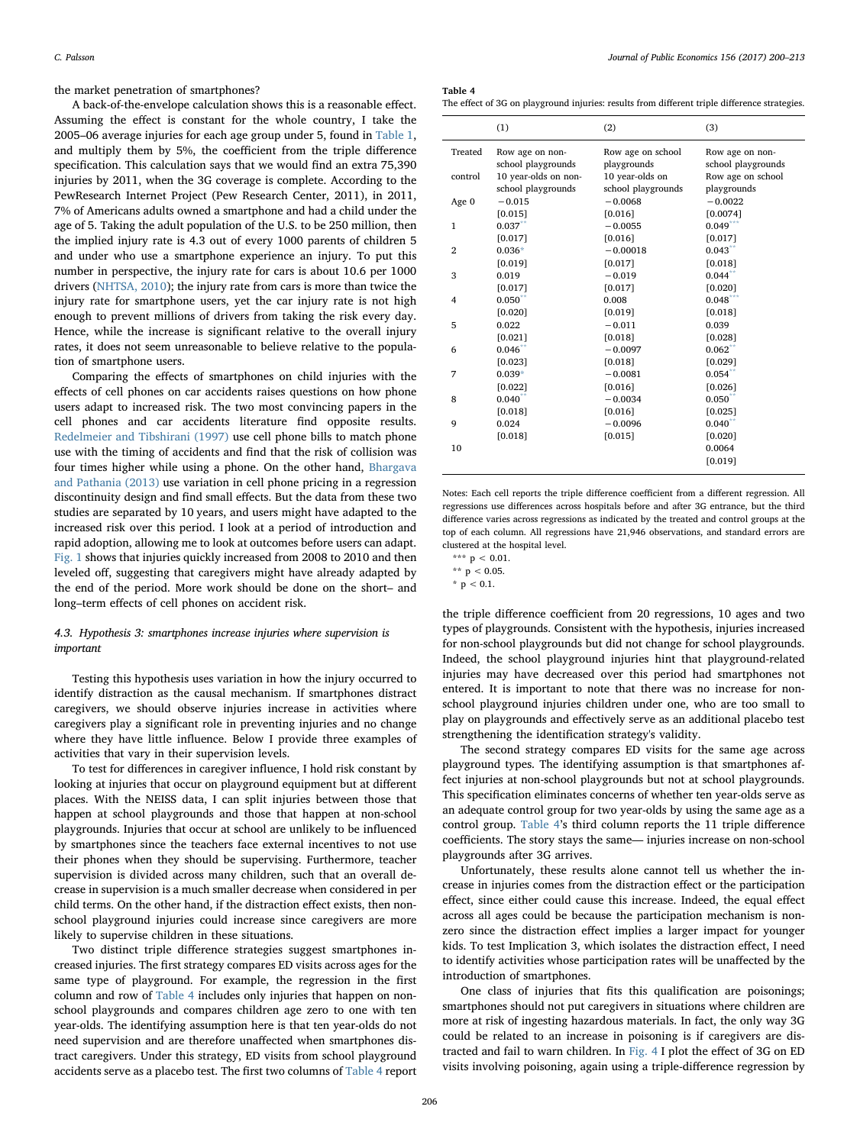the market penetration of smartphones?

A back-of-the-envelope calculation shows this is a reasonable effect. Assuming the effect is constant for the whole country, I take the 2005–06 average injuries for each age group under 5, found in [Table 1](#page-1-0), and multiply them by 5%, the coefficient from the triple difference specification. This calculation says that we would find an extra 75,390 injuries by 2011, when the 3G coverage is complete. According to the PewResearch Internet Project (Pew Research Center, 2011), in 2011, 7% of Americans adults owned a smartphone and had a child under the age of 5. Taking the adult population of the U.S. to be 250 million, then the implied injury rate is 4.3 out of every 1000 parents of children 5 and under who use a smartphone experience an injury. To put this number in perspective, the injury rate for cars is about 10.6 per 1000 drivers [\(NHTSA, 2010](#page-12-20)); the injury rate from cars is more than twice the injury rate for smartphone users, yet the car injury rate is not high enough to prevent millions of drivers from taking the risk every day. Hence, while the increase is significant relative to the overall injury rates, it does not seem unreasonable to believe relative to the population of smartphone users.

Comparing the effects of smartphones on child injuries with the effects of cell phones on car accidents raises questions on how phone users adapt to increased risk. The two most convincing papers in the cell phones and car accidents literature find opposite results. [Redelmeier and Tibshirani \(1997\)](#page-13-6) use cell phone bills to match phone use with the timing of accidents and find that the risk of collision was four times higher while using a phone. On the other hand, [Bhargava](#page-12-21) [and Pathania \(2013\)](#page-12-21) use variation in cell phone pricing in a regression discontinuity design and find small effects. But the data from these two studies are separated by 10 years, and users might have adapted to the increased risk over this period. I look at a period of introduction and rapid adoption, allowing me to look at outcomes before users can adapt. [Fig. 1](#page-2-0) shows that injuries quickly increased from 2008 to 2010 and then leveled off, suggesting that caregivers might have already adapted by the end of the period. More work should be done on the short– and long–term effects of cell phones on accident risk.

## <span id="page-6-0"></span>4.3. Hypothesis 3: smartphones increase injuries where supervision is important

Testing this hypothesis uses variation in how the injury occurred to identify distraction as the causal mechanism. If smartphones distract caregivers, we should observe injuries increase in activities where caregivers play a significant role in preventing injuries and no change where they have little influence. Below I provide three examples of activities that vary in their supervision levels.

To test for differences in caregiver influence, I hold risk constant by looking at injuries that occur on playground equipment but at different places. With the NEISS data, I can split injuries between those that happen at school playgrounds and those that happen at non-school playgrounds. Injuries that occur at school are unlikely to be influenced by smartphones since the teachers face external incentives to not use their phones when they should be supervising. Furthermore, teacher supervision is divided across many children, such that an overall decrease in supervision is a much smaller decrease when considered in per child terms. On the other hand, if the distraction effect exists, then nonschool playground injuries could increase since caregivers are more likely to supervise children in these situations.

Two distinct triple difference strategies suggest smartphones increased injuries. The first strategy compares ED visits across ages for the same type of playground. For example, the regression in the first column and row of [Table 4](#page-6-1) includes only injuries that happen on nonschool playgrounds and compares children age zero to one with ten year-olds. The identifying assumption here is that ten year-olds do not need supervision and are therefore unaffected when smartphones distract caregivers. Under this strategy, ED visits from school playground accidents serve as a placebo test. The first two columns of [Table 4](#page-6-1) report <span id="page-6-1"></span>Table 4

The effect of 3G on playground injuries: results from different triple difference strategies.

|                | (1)                  | (2)                | (3)                |
|----------------|----------------------|--------------------|--------------------|
| Treated        | Row age on non-      | Row age on school  | Row age on non-    |
|                | school playgrounds   | playgrounds        | school playgrounds |
| control        | 10 year-olds on non- | 10 year-olds on    | Row age on school  |
|                | school playgrounds   | school playgrounds | playgrounds        |
| Age 0          | $-0.015$             | $-0.0068$          | $-0.0022$          |
|                | [0.015]              | [0.016]            | [0.0074]           |
| $\mathbf{1}$   | $0.037**$            | $-0.0055$          | $0.049***$         |
|                | [0.017]              | [0.016]            | [0.017]            |
| $\overline{2}$ | $0.036*$             | $-0.00018$         | 0.043              |
|                | [0.019]              | [0.017]            | [0.018]            |
| 3              | 0.019                | $-0.019$           | $0.044$ **         |
|                | [0.017]              | [0.017]            | [0.020]            |
| 4              | $0.050$ **           | 0.008              | $0.048***$         |
|                | [0.020]              | [0.019]            | [0.018]            |
| 5              | 0.022                | $-0.011$           | 0.039              |
|                | [0.021]              | [0.018]            | [0.028]            |
| 6              | 0.046                | $-0.0097$          | 0.062              |
|                | [0.023]              | [0.018]            | [0.029]            |
| 7              | $0.039*$             | $-0.0081$          | 0.054              |
|                | [0.022]              | [0.016]            | [0.026]            |
| 8              | $0.040$ **           | $-0.0034$          | $0.050**$          |
|                | [0.018]              | [0.016]            | [0.025]            |
| 9              | 0.024                | $-0.0096$          | $0.040^{n}$        |
|                | [0.018]              | [0.015]            | [0.020]            |
| 10             |                      |                    | 0.0064             |
|                |                      |                    | [0.019]            |
|                |                      |                    |                    |

Notes: Each cell reports the triple difference coefficient from a different regression. All regressions use differences across hospitals before and after 3G entrance, but the third difference varies across regressions as indicated by the treated and control groups at the top of each column. All regressions have 21,946 observations, and standard errors are clustered at the hospital level.

the triple difference coefficient from 20 regressions, 10 ages and two types of playgrounds. Consistent with the hypothesis, injuries increased for non-school playgrounds but did not change for school playgrounds. Indeed, the school playground injuries hint that playground-related injuries may have decreased over this period had smartphones not entered. It is important to note that there was no increase for nonschool playground injuries children under one, who are too small to play on playgrounds and effectively serve as an additional placebo test strengthening the identification strategy's validity.

The second strategy compares ED visits for the same age across playground types. The identifying assumption is that smartphones affect injuries at non-school playgrounds but not at school playgrounds. This specification eliminates concerns of whether ten year-olds serve as an adequate control group for two year-olds by using the same age as a control group. [Table 4](#page-6-1)'s third column reports the 11 triple difference coefficients. The story stays the same— injuries increase on non-school playgrounds after 3G arrives.

Unfortunately, these results alone cannot tell us whether the increase in injuries comes from the distraction effect or the participation effect, since either could cause this increase. Indeed, the equal effect across all ages could be because the participation mechanism is nonzero since the distraction effect implies a larger impact for younger kids. To test Implication 3, which isolates the distraction effect, I need to identify activities whose participation rates will be unaffected by the introduction of smartphones.

One class of injuries that fits this qualification are poisonings; smartphones should not put caregivers in situations where children are more at risk of ingesting hazardous materials. In fact, the only way 3G could be related to an increase in poisoning is if caregivers are distracted and fail to warn children. In [Fig. 4](#page-7-1) I plot the effect of 3G on ED visits involving poisoning, again using a triple-difference regression by

<span id="page-6-3"></span><sup>\*\*\*</sup>  $p < 0.01$ .

<span id="page-6-2"></span><sup>\*\*</sup>  $p < 0.05$ .

<span id="page-6-4"></span><sup>\*</sup>  $p < 0.1$ .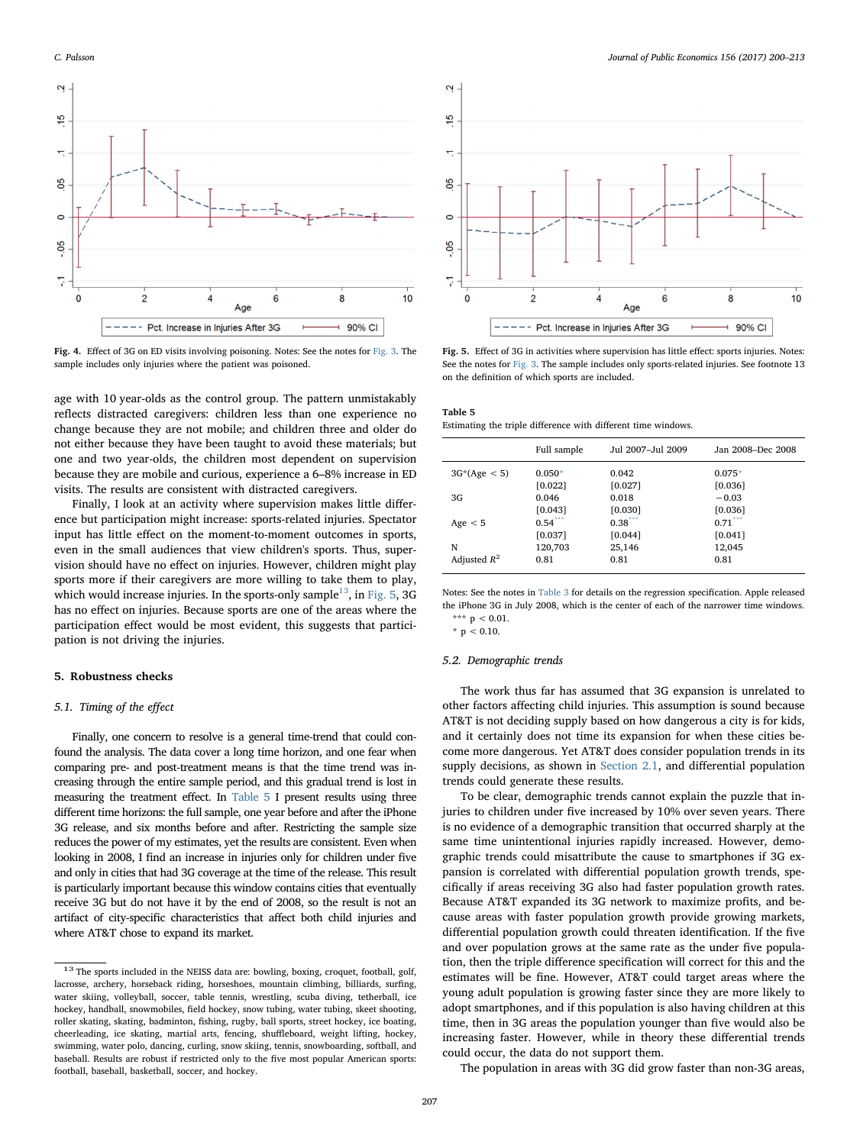<span id="page-7-1"></span>

Fig. 4. Effect of 3G on ED visits involving poisoning. Notes: See the notes for [Fig. 3](#page-5-3). The sample includes only injuries where the patient was poisoned.

age with 10 year-olds as the control group. The pattern unmistakably reflects distracted caregivers: children less than one experience no change because they are not mobile; and children three and older do not either because they have been taught to avoid these materials; but one and two year-olds, the children most dependent on supervision because they are mobile and curious, experience a 6–8% increase in ED visits. The results are consistent with distracted caregivers.

Finally, I look at an activity where supervision makes little difference but participation might increase: sports-related injuries. Spectator input has little effect on the moment-to-moment outcomes in sports, even in the small audiences that view children's sports. Thus, supervision should have no effect on injuries. However, children might play sports more if their caregivers are more willing to take them to play, which would increase injuries. In the sports-only sample<sup>13</sup>, in [Fig. 5](#page-7-3), 3G has no effect on injuries. Because sports are one of the areas where the participation effect would be most evident, this suggests that participation is not driving the injuries.

#### <span id="page-7-0"></span>5. Robustness checks

# 5.1. Timing of the effect

Finally, one concern to resolve is a general time-trend that could confound the analysis. The data cover a long time horizon, and one fear when comparing pre- and post-treatment means is that the time trend was increasing through the entire sample period, and this gradual trend is lost in measuring the treatment effect. In [Table 5](#page-7-4) I present results using three different time horizons: the full sample, one year before and after the iPhone 3G release, and six months before and after. Restricting the sample size reduces the power of my estimates, yet the results are consistent. Even when looking in 2008, I find an increase in injuries only for children under five and only in cities that had 3G coverage at the time of the release. This result is particularly important because this window contains cities that eventually receive 3G but do not have it by the end of 2008, so the result is not an artifact of city-specific characteristics that affect both child injuries and where AT&T chose to expand its market.



<span id="page-7-3"></span>

Fig. 5. Effect of 3G in activities where supervision has little effect: sports injuries. Notes: See the notes for [Fig. 3](#page-5-3). The sample includes only sports-related injuries. See footnote 13 on the definition of which sports are included.

<span id="page-7-4"></span>

| Table 5                                                       |  |  |  |
|---------------------------------------------------------------|--|--|--|
| Estimating the triple difference with different time windows. |  |  |  |

|                | Full sample | Jul 2007-Jul 2009 | Jan 2008-Dec 2008 |
|----------------|-------------|-------------------|-------------------|
| $3G*(Age < 5)$ | $0.050*$    | 0.042             | $0.075*$          |
|                | [0.022]     | [0.027]           | [0.036]           |
| 3G             | 0.046       | 0.018             | $-0.03$           |
|                | [0.043]     | [0.030]           | [0.036]           |
| Age $< 5$      | $0.54***$   | $0.38***$         | $0.71***$         |
|                | [0.037]     | [0.044]           | [0.041]           |
| N              | 120,703     | 25,146            | 12,045            |
| Adjusted $R^2$ | 0.81        | 0.81              | 0.81              |

Notes: See the notes in [Table 3](#page-5-2) for details on the regression specification. Apple released the iPhone 3G in July 2008, which is the center of each of the narrower time windows. \*\*\*  $p < 0.01$ .

<span id="page-7-6"></span><span id="page-7-5"></span> $*$  p < 0.10.

#### 5.2. Demographic trends

The work thus far has assumed that 3G expansion is unrelated to other factors affecting child injuries. This assumption is sound because AT&T is not deciding supply based on how dangerous a city is for kids, and it certainly does not time its expansion for when these cities become more dangerous. Yet AT&T does consider population trends in its supply decisions, as shown in [Section 2.1](#page-1-4), and differential population trends could generate these results.

To be clear, demographic trends cannot explain the puzzle that injuries to children under five increased by 10% over seven years. There is no evidence of a demographic transition that occurred sharply at the same time unintentional injuries rapidly increased. However, demographic trends could misattribute the cause to smartphones if 3G expansion is correlated with differential population growth trends, specifically if areas receiving 3G also had faster population growth rates. Because AT&T expanded its 3G network to maximize profits, and because areas with faster population growth provide growing markets, differential population growth could threaten identification. If the five and over population grows at the same rate as the under five population, then the triple difference specification will correct for this and the estimates will be fine. However, AT&T could target areas where the young adult population is growing faster since they are more likely to adopt smartphones, and if this population is also having children at this time, then in 3G areas the population younger than five would also be increasing faster. However, while in theory these differential trends could occur, the data do not support them.

The population in areas with 3G did grow faster than non-3G areas,

<span id="page-7-2"></span> $^{13}$  The sports included in the NEISS data are: bowling, boxing, croquet, football, golf, lacrosse, archery, horseback riding, horseshoes, mountain climbing, billiards, surfing, water skiing, volleyball, soccer, table tennis, wrestling, scuba diving, tetherball, ice hockey, handball, snowmobiles, field hockey, snow tubing, water tubing, skeet shooting, roller skating, skating, badminton, fishing, rugby, ball sports, street hockey, ice boating, cheerleading, ice skating, martial arts, fencing, shuffleboard, weight lifting, hockey, swimming, water polo, dancing, curling, snow skiing, tennis, snowboarding, softball, and baseball. Results are robust if restricted only to the five most popular American sports: football, baseball, basketball, soccer, and hockey.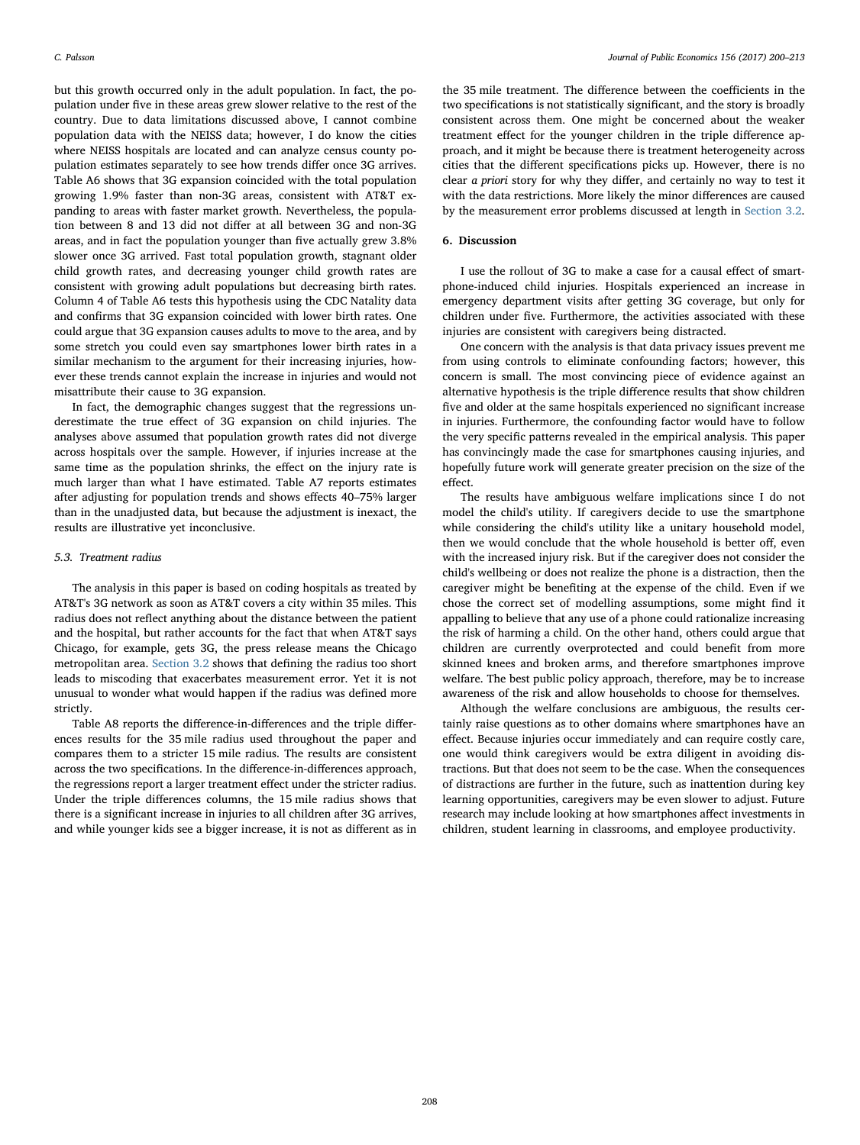but this growth occurred only in the adult population. In fact, the population under five in these areas grew slower relative to the rest of the country. Due to data limitations discussed above, I cannot combine population data with the NEISS data; however, I do know the cities where NEISS hospitals are located and can analyze census county population estimates separately to see how trends differ once 3G arrives. Table A6 shows that 3G expansion coincided with the total population growing 1.9% faster than non-3G areas, consistent with AT&T expanding to areas with faster market growth. Nevertheless, the population between 8 and 13 did not differ at all between 3G and non-3G areas, and in fact the population younger than five actually grew 3.8% slower once 3G arrived. Fast total population growth, stagnant older child growth rates, and decreasing younger child growth rates are consistent with growing adult populations but decreasing birth rates. Column 4 of Table A6 tests this hypothesis using the CDC Natality data and confirms that 3G expansion coincided with lower birth rates. One could argue that 3G expansion causes adults to move to the area, and by some stretch you could even say smartphones lower birth rates in a similar mechanism to the argument for their increasing injuries, however these trends cannot explain the increase in injuries and would not misattribute their cause to 3G expansion.

In fact, the demographic changes suggest that the regressions underestimate the true effect of 3G expansion on child injuries. The analyses above assumed that population growth rates did not diverge across hospitals over the sample. However, if injuries increase at the same time as the population shrinks, the effect on the injury rate is much larger than what I have estimated. Table A7 reports estimates after adjusting for population trends and shows effects 40–75% larger than in the unadjusted data, but because the adjustment is inexact, the results are illustrative yet inconclusive.

#### 5.3. Treatment radius

The analysis in this paper is based on coding hospitals as treated by AT&T's 3G network as soon as AT&T covers a city within 35 miles. This radius does not reflect anything about the distance between the patient and the hospital, but rather accounts for the fact that when AT&T says Chicago, for example, gets 3G, the press release means the Chicago metropolitan area. [Section 3.2](#page-3-7) shows that defining the radius too short leads to miscoding that exacerbates measurement error. Yet it is not unusual to wonder what would happen if the radius was defined more strictly.

Table A8 reports the difference-in-differences and the triple differences results for the 35 mile radius used throughout the paper and compares them to a stricter 15 mile radius. The results are consistent across the two specifications. In the difference-in-differences approach, the regressions report a larger treatment effect under the stricter radius. Under the triple differences columns, the 15 mile radius shows that there is a significant increase in injuries to all children after 3G arrives, and while younger kids see a bigger increase, it is not as different as in

the 35 mile treatment. The difference between the coefficients in the two specifications is not statistically significant, and the story is broadly consistent across them. One might be concerned about the weaker treatment effect for the younger children in the triple difference approach, and it might be because there is treatment heterogeneity across cities that the different specifications picks up. However, there is no clear a priori story for why they differ, and certainly no way to test it with the data restrictions. More likely the minor differences are caused by the measurement error problems discussed at length in [Section 3.2](#page-3-7).

#### 6. Discussion

I use the rollout of 3G to make a case for a causal effect of smartphone-induced child injuries. Hospitals experienced an increase in emergency department visits after getting 3G coverage, but only for children under five. Furthermore, the activities associated with these injuries are consistent with caregivers being distracted.

One concern with the analysis is that data privacy issues prevent me from using controls to eliminate confounding factors; however, this concern is small. The most convincing piece of evidence against an alternative hypothesis is the triple difference results that show children five and older at the same hospitals experienced no significant increase in injuries. Furthermore, the confounding factor would have to follow the very specific patterns revealed in the empirical analysis. This paper has convincingly made the case for smartphones causing injuries, and hopefully future work will generate greater precision on the size of the effect.

The results have ambiguous welfare implications since I do not model the child's utility. If caregivers decide to use the smartphone while considering the child's utility like a unitary household model, then we would conclude that the whole household is better off, even with the increased injury risk. But if the caregiver does not consider the child's wellbeing or does not realize the phone is a distraction, then the caregiver might be benefiting at the expense of the child. Even if we chose the correct set of modelling assumptions, some might find it appalling to believe that any use of a phone could rationalize increasing the risk of harming a child. On the other hand, others could argue that children are currently overprotected and could benefit from more skinned knees and broken arms, and therefore smartphones improve welfare. The best public policy approach, therefore, may be to increase awareness of the risk and allow households to choose for themselves.

Although the welfare conclusions are ambiguous, the results certainly raise questions as to other domains where smartphones have an effect. Because injuries occur immediately and can require costly care, one would think caregivers would be extra diligent in avoiding distractions. But that does not seem to be the case. When the consequences of distractions are further in the future, such as inattention during key learning opportunities, caregivers may be even slower to adjust. Future research may include looking at how smartphones affect investments in children, student learning in classrooms, and employee productivity.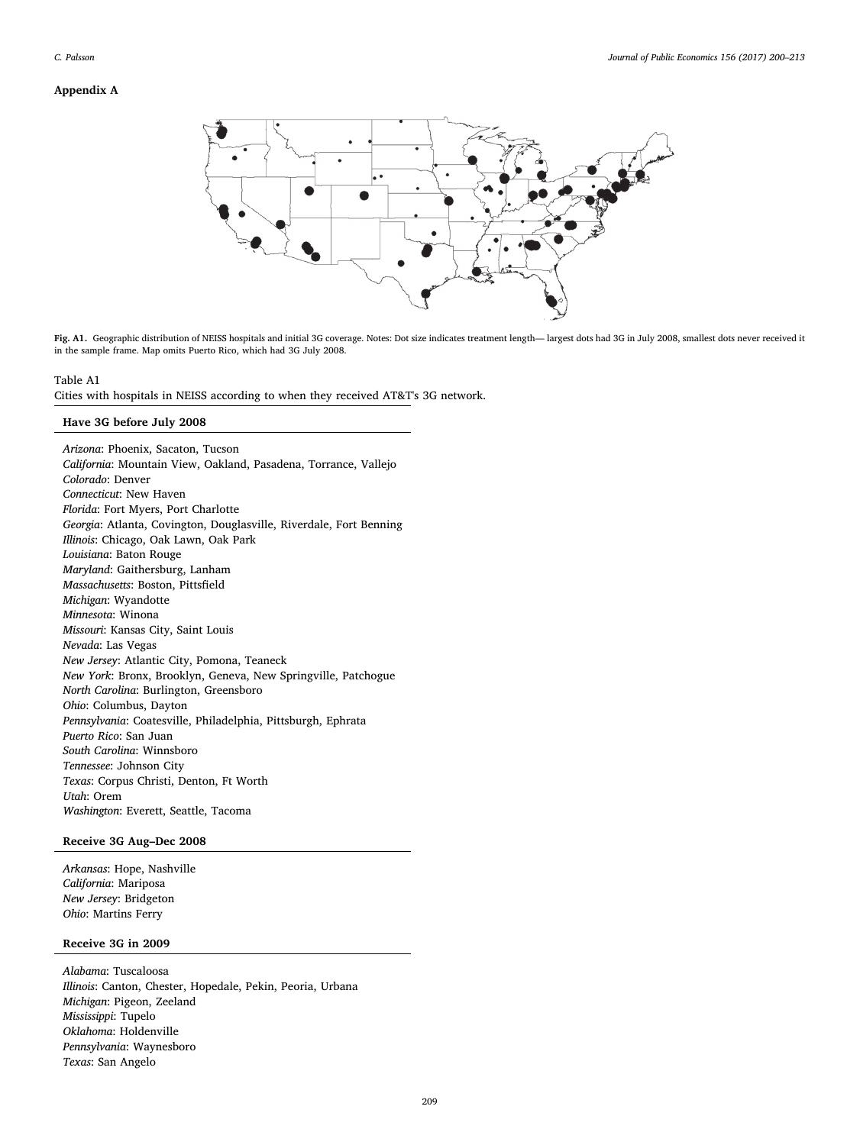# Appendix A



Fig. A1. Geographic distribution of NEISS hospitals and initial 3G coverage. Notes: Dot size indicates treatment length— largest dots had 3G in July 2008, smallest dots never received it in the sample frame. Map omits Puerto Rico, which had 3G July 2008.

# Table A1

Cities with hospitals in NEISS according to when they received AT&T's 3G network.

# Have 3G before July 2008

Arizona: Phoenix, Sacaton, Tucson California: Mountain View, Oakland, Pasadena, Torrance, Vallejo Colorado: Denver Connecticut: New Haven Florida: Fort Myers, Port Charlotte Georgia: Atlanta, Covington, Douglasville, Riverdale, Fort Benning Illinois: Chicago, Oak Lawn, Oak Park Louisiana: Baton Rouge Maryland: Gaithersburg, Lanham Massachusetts: Boston, Pittsfield Michigan: Wyandotte Minnesota: Winona Missouri: Kansas City, Saint Louis Nevada: Las Vegas New Jersey: Atlantic City, Pomona, Teaneck New York: Bronx, Brooklyn, Geneva, New Springville, Patchogue North Carolina: Burlington, Greensboro Ohio: Columbus, Dayton Pennsylvania: Coatesville, Philadelphia, Pittsburgh, Ephrata Puerto Rico: San Juan South Carolina: Winnsboro Tennessee: Johnson City Texas: Corpus Christi, Denton, Ft Worth Utah: Orem Washington: Everett, Seattle, Tacoma

# Receive 3G Aug–Dec 2008

Arkansas: Hope, Nashville California: Mariposa New Jersey: Bridgeton Ohio: Martins Ferry

# Receive 3G in 2009

Alabama: Tuscaloosa Illinois: Canton, Chester, Hopedale, Pekin, Peoria, Urbana Michigan: Pigeon, Zeeland Mississippi: Tupelo Oklahoma: Holdenville Pennsylvania: Waynesboro Texas: San Angelo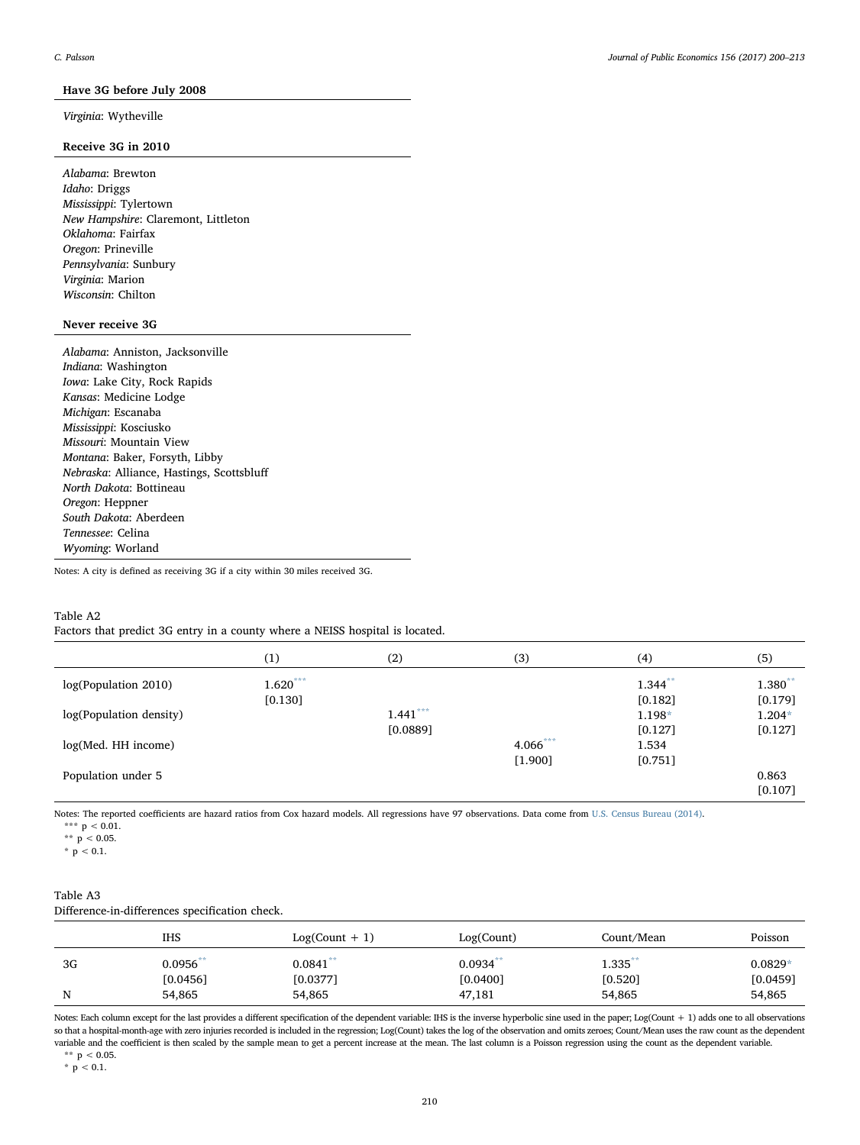# Have 3G before July 2008

# Virginia: Wytheville

# Receive 3G in 2010

Alabama: Brewton Idaho: Driggs Mississippi: Tylertown New Hampshire: Claremont, Littleton Oklahoma: Fairfax Oregon: Prineville Pennsylvania: Sunbury Virginia: Marion Wisconsin: Chilton

# Never receive 3G

Alabama: Anniston, Jacksonville Indiana: Washington Iowa: Lake City, Rock Rapids Kansas: Medicine Lodge Michigan: Escanaba Mississippi: Kosciusko Missouri: Mountain View Montana: Baker, Forsyth, Libby Nebraska: Alliance, Hastings, Scottsbluff North Dakota: Bottineau Oregon: Heppner South Dakota: Aberdeen Tennessee: Celina Wyoming: Worland

Notes: A city is defined as receiving 3G if a city within 30 miles received 3G.

# Table A2

Factors that predict 3G entry in a county where a NEISS hospital is located.

|                         | (1)        | (2)        | (3)      | (4)        | (5)      |
|-------------------------|------------|------------|----------|------------|----------|
| log(Population 2010)    | $1.620***$ |            |          | $1.344***$ | 1.380**  |
|                         | $[0.130]$  |            |          | $[0.182]$  | [0.179]  |
| log(Population density) |            | $1.441***$ |          | 1.198*     | $1.204*$ |
|                         |            | [0.0889]   |          | $[0.127]$  | [0.127]  |
| log(Med. HH income)     |            |            | 4.066*** | 1.534      |          |
|                         |            |            | [1.900]  | $[0.751]$  |          |
| Population under 5      |            |            |          |            | 0.863    |
|                         |            |            |          |            | [0.107]  |

<span id="page-10-0"></span>Notes: The reported coefficients are hazard ratios from Cox hazard models. All regressions have 97 observations. Data come from [U.S. Census Bureau \(2014\)](#page-13-7).

\*\*\*  $p < 0.01$ .

<span id="page-10-1"></span>\*\*  $p < 0.05$ .

<span id="page-10-2"></span>\*  $p < 0.1$ .

# Table A3 Difference-in-differences specification check.

|    | IHS                     | $Log(Count + 1)$       | Log(Count)             | Count/Mean              | Poisson               |
|----|-------------------------|------------------------|------------------------|-------------------------|-----------------------|
| 3G | $0.0956***$<br>[0.0456] | $0.0841**$<br>[0.0377] | $0.0934**$<br>[0.0400] | $1.335$ **<br>$[0.520]$ | $0.0829*$<br>[0.0459] |
| N  | 54,865                  | 54,865                 | 47,181                 | 54,865                  | 54,865                |

Notes: Each column except for the last provides a different specification of the dependent variable: IHS is the inverse hyperbolic sine used in the paper; Log(Count + 1) adds one to all observations so that a hospital-month-age with zero injuries recorded is included in the regression; Log(Count) takes the log of the observation and omits zeroes; Count/Mean uses the raw count as the dependent variable and the coefficient is then scaled by the sample mean to get a percent increase at the mean. The last column is a Poisson regression using the count as the dependent variable. \*\*  $p < 0.05$ .

<span id="page-10-4"></span><span id="page-10-3"></span>
$$
\begin{array}{c}\n p < 0.0 \\
\ast & p < 0.1\n \end{array}
$$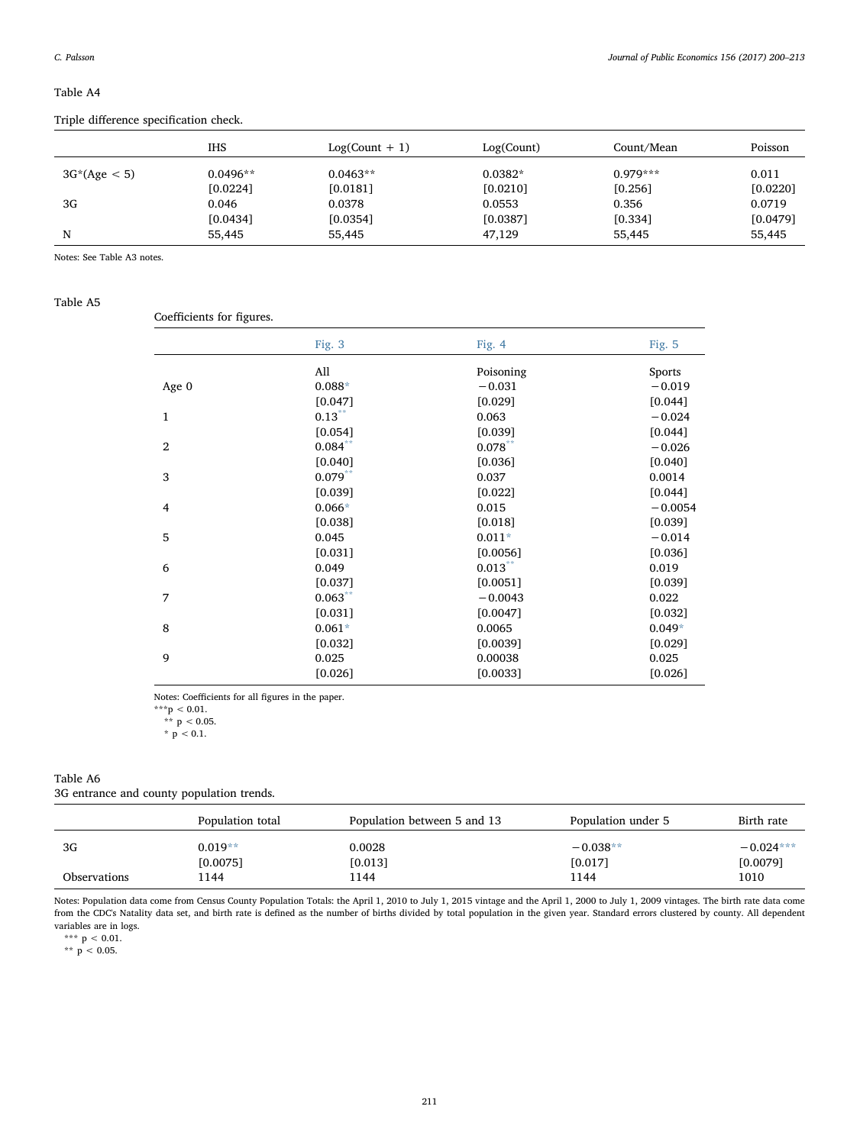# Table A4

Triple difference specification check.

|                | IHS        | $Log(Count + 1)$ | Log(Count) | Count/Mean | Poisson  |
|----------------|------------|------------------|------------|------------|----------|
| $3G*(Age < 5)$ | $0.0496**$ | $0.0463**$       | $0.0382*$  | $0.979***$ | 0.011    |
|                | [0.0224]   | [0.0181]         | [0.0210]   | [0.256]    | [0.0220] |
| 3G             | 0.046      | 0.0378           | 0.0553     | 0.356      | 0.0719   |
|                | [0.0434]   | [0.0354]         | [0.0387]   | [0.334]    | [0.0479] |
| N              | 55,445     | 55,445           | 47,129     | 55,445     | 55,445   |

Notes: See Table A3 notes.

#### Table A5

Coefficients for figures.

|                | Fig. 3     | Fig. $4$   | Fig. 5    |
|----------------|------------|------------|-----------|
|                | All        | Poisoning  | Sports    |
| Age 0          | $0.088*$   | $-0.031$   | $-0.019$  |
|                | $[0.047]$  | $[0.029]$  | [0.044]   |
| $\mathbf{1}$   | $0.13***$  | 0.063      | $-0.024$  |
|                | $[0.054]$  | [0.039]    | [0.044]   |
| $\overline{2}$ | $0.084***$ | $0.078***$ | $-0.026$  |
|                | [0.040]    | $[0.036]$  | [0.040]   |
| 3              | $0.079***$ | 0.037      | 0.0014    |
|                | [0.039]    | $[0.022]$  | $[0.044]$ |
| $\overline{4}$ | $0.066*$   | 0.015      | $-0.0054$ |
|                | [0.038]    | [0.018]    | [0.039]   |
| 5              | 0.045      | $0.011*$   | $-0.014$  |
|                | $[0.031]$  | [0.0056]   | [0.036]   |
| 6              | 0.049      | $0.013$ ** | 0.019     |
|                | $[0.037]$  | [0.0051]   | [0.039]   |
| 7              | $0.063***$ | $-0.0043$  | 0.022     |
|                | $[0.031]$  | [0.0047]   | [0.032]   |
| 8              | $0.061*$   | 0.0065     | $0.049*$  |
|                | $[0.032]$  | [0.0039]   | $[0.029]$ |
| 9              | 0.025      | 0.00038    | 0.025     |
|                | $[0.026]$  | [0.0033]   | $[0.026]$ |
|                |            |            |           |

Notes: Coefficients for all figures in the paper.

<span id="page-11-1"></span> $***p < 0.01$ .

<span id="page-11-0"></span>\*\*  $p < 0.05$ . \*  $p < 0.1$ .

# Table A6

3G entrance and county population trends.

|                     | Population total      | Population between 5 and 13 | Population under 5      | Birth rate              |
|---------------------|-----------------------|-----------------------------|-------------------------|-------------------------|
| 3G                  | $0.019**$<br>[0.0075] | 0.0028<br>[0.013]           | $-0.038**$<br>$[0.017]$ | $-0.024***$<br>[0.0079] |
| <b>Observations</b> | l 144                 | 1144                        | 1144                    | 1010                    |

Notes: Population data come from Census County Population Totals: the April 1, 2010 to July 1, 2015 vintage and the April 1, 2000 to July 1, 2009 vintages. The birth rate data come from the CDC's Natality data set, and birth rate is defined as the number of births divided by total population in the given year. Standard errors clustered by county. All dependent variables are in logs.

<span id="page-11-3"></span>\*\*\*  $p < 0.01$ .

<span id="page-11-2"></span>\*\*  $p$  < 0.05.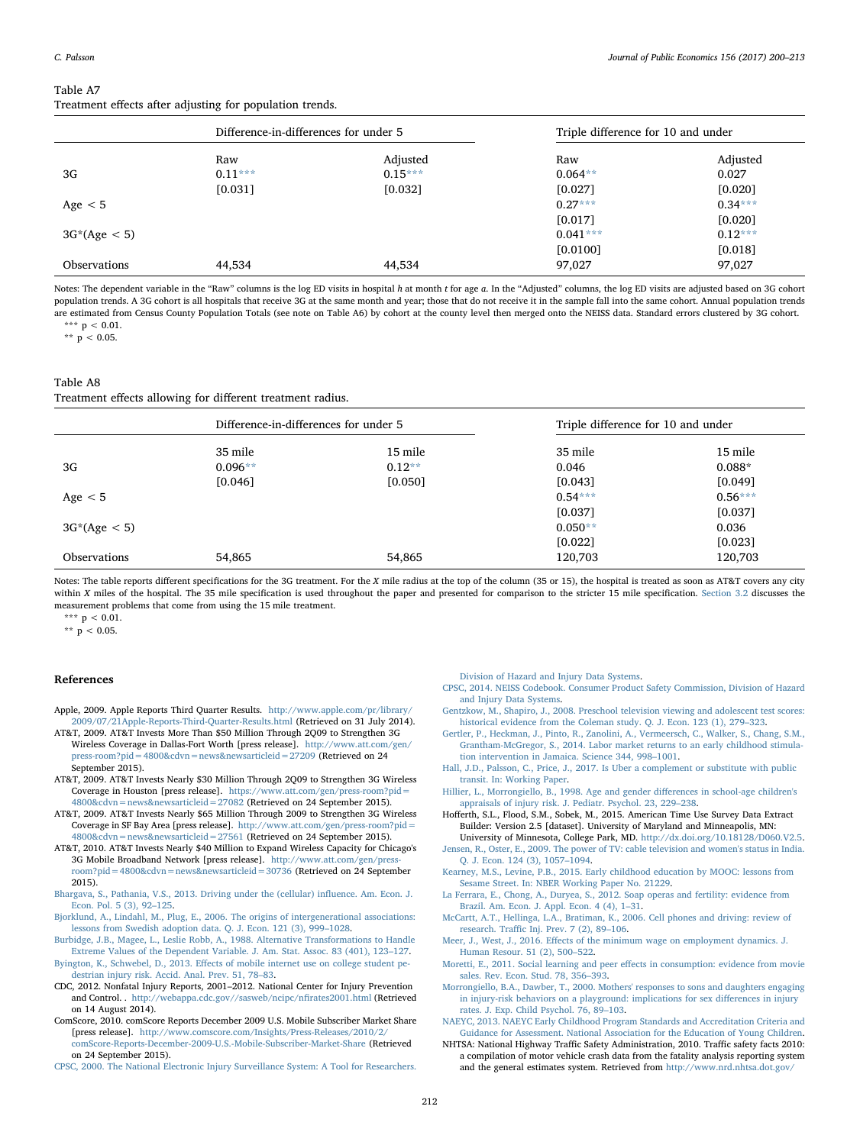## Table A7 Treatment effects after adjusting for population trends.

|                     | Difference-in-differences for under 5 |           | Triple difference for 10 and under |           |
|---------------------|---------------------------------------|-----------|------------------------------------|-----------|
|                     | Raw                                   | Adjusted  | Raw                                | Adjusted  |
| 3G                  | $0.11***$                             | $0.15***$ | $0.064**$                          | 0.027     |
|                     | $[0.031]$                             | $[0.032]$ | [0.027]                            | $[0.020]$ |
| Age $< 5$           |                                       |           | $0.27***$                          | $0.34***$ |
|                     |                                       |           | [0.017]                            | [0.020]   |
| $3G*(Age < 5)$      |                                       |           | $0.041***$                         | $0.12***$ |
|                     |                                       |           | [0.0100]                           | $[0.018]$ |
| <b>Observations</b> | 44,534                                | 44,534    | 97,027                             | 97,027    |

Notes: The dependent variable in the "Raw" columns is the log ED visits in hospital h at month t for age a. In the "Adjusted" columns, the log ED visits are adjusted based on 3G cohort population trends. A 3G cohort is all hospitals that receive 3G at the same month and year; those that do not receive it in the sample fall into the same cohort. Annual population trends are estimated from Census County Population Totals (see note on Table A6) by cohort at the county level then merged onto the NEISS data. Standard errors clustered by 3G cohort. \*\*\*  $p < 0.01$ .

<span id="page-12-23"></span><span id="page-12-22"></span>\*\*  $p < 0.05$ .

# Table A8

Treatment effects allowing for different treatment radius.

|                     | Difference-in-differences for under 5 |          | Triple difference for 10 and under |           |
|---------------------|---------------------------------------|----------|------------------------------------|-----------|
|                     | 35 mile                               | 15 mile  | 35 mile                            | 15 mile   |
| 3G                  | $0.096**$                             | $0.12**$ | 0.046                              | $0.088*$  |
|                     | [0.046]                               | [0.050]  | [0.043]                            | [0.049]   |
| Age $< 5$           |                                       |          | $0.54***$                          | $0.56***$ |
|                     |                                       |          | [0.037]                            | [0.037]   |
| $3G^*(Age < 5)$     |                                       |          | $0.050**$                          | 0.036     |
|                     |                                       |          | [0.022]                            | [0.023]   |
| <b>Observations</b> | 54,865                                | 54,865   | 120,703                            | 120,703   |

Notes: The table reports different specifications for the 3G treatment. For the X mile radius at the top of the column (35 or 15), the hospital is treated as soon as AT&T covers any city within X miles of the hospital. The 35 mile specification is used throughout the paper and presented for comparison to the stricter 15 mile specification. [Section 3.2](#page-3-7) discusses the measurement problems that come from using the 15 mile treatment.

<span id="page-12-25"></span>\*\*\*  $p < 0.01$ .

<span id="page-12-24"></span>\*\*  $p < 0.05$ .

#### References

- <span id="page-12-7"></span>Apple, 2009. Apple Reports Third Quarter Results. [http://www.apple.com/pr/library/](http://www.apple.com/pr/library/2009/07/21Apple-Reports-Third-Quarter-Results.html) [2009/07/21Apple-Reports-Third-Quarter-Results.html](http://www.apple.com/pr/library/2009/07/21Apple-Reports-Third-Quarter-Results.html) (Retrieved on 31 July 2014).
- <span id="page-12-9"></span>AT&T, 2009. AT&T Invests More Than \$50 Million Through 2Q09 to Strengthen 3G Wireless Coverage in Dallas-Fort Worth [press release]. [http://www.att.com/gen/](http://www.att.com/gen/press-room?pid=4800&cdvn=news&newsarticleid=27209) [press-room?pid=4800&cdvn=news&newsarticleid=27209](http://www.att.com/gen/press-room?pid=4800&cdvn=news&newsarticleid=27209) (Retrieved on 24 September 2015).
- AT&T, 2009. AT&T Invests Nearly \$30 Million Through 2Q09 to Strengthen 3G Wireless Coverage in Houston [press release]. [https://www.att.com/gen/press-room?pid=](https://www.att.com/gen/press-room?pid=4800&cdvn=news&newsarticleid=27082) [4800&cdvn=news&newsarticleid=27082](https://www.att.com/gen/press-room?pid=4800&cdvn=news&newsarticleid=27082) (Retrieved on 24 September 2015).
- <span id="page-12-10"></span>AT&T, 2009. AT&T Invests Nearly \$65 Million Through 2009 to Strengthen 3G Wireless Coverage in SF Bay Area [press release]. [http://www.att.com/gen/press-room?pid=](http://www.att.com/gen/press-room?pid=4800&cdvn=news&newsarticleid=27561) [4800&cdvn=news&newsarticleid=27561](http://www.att.com/gen/press-room?pid=4800&cdvn=news&newsarticleid=27561) (Retrieved on 24 September 2015).
- AT&T, 2010. AT&T Invests Nearly \$40 Million to Expand Wireless Capacity for Chicago's 3G Mobile Broadband Network [press release]. [http://www.att.com/gen/press](http://www.att.com/gen/press-room?pid=4800&cdvn=news&newsarticleid=30736)[room?pid=4800&cdvn=news&newsarticleid=30736](http://www.att.com/gen/press-room?pid=4800&cdvn=news&newsarticleid=30736) (Retrieved on 24 September 2015).
- <span id="page-12-21"></span>[Bhargava, S., Pathania, V.S., 2013. Driving under the \(cellular\) in](http://refhub.elsevier.com/S0047-2727(17)30181-0/rf0030)fluence. Am. Econ. J. [Econ. Pol. 5 \(3\), 92](http://refhub.elsevier.com/S0047-2727(17)30181-0/rf0030)–125.
- [Bjorklund, A., Lindahl, M., Plug, E., 2006. The origins of intergenerational associations:](http://refhub.elsevier.com/S0047-2727(17)30181-0/rf0035) [lessons from Swedish adoption data. Q. J. Econ. 121 \(3\), 999](http://refhub.elsevier.com/S0047-2727(17)30181-0/rf0035)–1028.
- <span id="page-12-18"></span>[Burbidge, J.B., Magee, L., Leslie Robb, A., 1988. Alternative Transformations to Handle](http://refhub.elsevier.com/S0047-2727(17)30181-0/rf2005) [Extreme Values of the Dependent Variable. J. Am. Stat. Assoc. 83 \(401\), 123](http://refhub.elsevier.com/S0047-2727(17)30181-0/rf2005)–127.
- <span id="page-12-1"></span>Byington, K., Schwebel, D., 2013. Eff[ects of mobile internet use on college student pe](http://refhub.elsevier.com/S0047-2727(17)30181-0/rf0040)[destrian injury risk. Accid. Anal. Prev. 51, 78](http://refhub.elsevier.com/S0047-2727(17)30181-0/rf0040)–83.
- <span id="page-12-0"></span>CDC, 2012. Nonfatal Injury Reports, 2001–2012. National Center for Injury Prevention and Control. . [http://webappa.cdc.gov//sasweb/ncipc/n](http://webappa.cdc.gov//sasweb/ncipc/nfirates2001.html)firates2001.html (Retrieved on 14 August 2014).
- <span id="page-12-8"></span>ComScore, 2010. comScore Reports December 2009 U.S. Mobile Subscriber Market Share [press release]. [http://www.comscore.com/Insights/Press-Releases/2010/2/](http://www.comscore.com/Insights/Press-Releases/2010/2/comScore-Reports-December-2009-U.S.-Mobile-Subscriber-Market-Share) [comScore-Reports-December-2009-U.S.-Mobile-Subscriber-Market-Share](http://www.comscore.com/Insights/Press-Releases/2010/2/comScore-Reports-December-2009-U.S.-Mobile-Subscriber-Market-Share) (Retrieved on 24 September 2015).

<span id="page-12-17"></span>[CPSC, 2000. The National Electronic Injury Surveillance System: A Tool for Researchers.](http://refhub.elsevier.com/S0047-2727(17)30181-0/rf0055)

[Division of Hazard and Injury Data Systems](http://refhub.elsevier.com/S0047-2727(17)30181-0/rf0055).

- <span id="page-12-16"></span>[CPSC, 2014. NEISS Codebook. Consumer Product Safety Commission, Division of Hazard](http://refhub.elsevier.com/S0047-2727(17)30181-0/rf0060) [and Injury Data Systems](http://refhub.elsevier.com/S0047-2727(17)30181-0/rf0060).
- <span id="page-12-3"></span>[Gentzkow, M., Shapiro, J., 2008. Preschool television viewing and adolescent test scores:](http://refhub.elsevier.com/S0047-2727(17)30181-0/rf0065) [historical evidence from the Coleman study. Q. J. Econ. 123 \(1\), 279](http://refhub.elsevier.com/S0047-2727(17)30181-0/rf0065)–323.
- [Gertler, P., Heckman, J., Pinto, R., Zanolini, A., Vermeersch, C., Walker, S., Chang, S.M.,](http://refhub.elsevier.com/S0047-2727(17)30181-0/rf0070) [Grantham-McGregor, S., 2014. Labor market returns to an early childhood stimula](http://refhub.elsevier.com/S0047-2727(17)30181-0/rf0070)[tion intervention in Jamaica. Science 344, 998](http://refhub.elsevier.com/S0047-2727(17)30181-0/rf0070)–1001.
- <span id="page-12-11"></span>[Hall, J.D., Palsson, C., Price, J., 2017. Is Uber a complement or substitute with public](http://refhub.elsevier.com/S0047-2727(17)30181-0/rf0075) [transit. In: Working Paper.](http://refhub.elsevier.com/S0047-2727(17)30181-0/rf0075)
- <span id="page-12-13"></span>[Hillier, L., Morrongiello, B., 1998. Age and gender di](http://refhub.elsevier.com/S0047-2727(17)30181-0/rf0080)fferences in school-age children's [appraisals of injury risk. J. Pediatr. Psychol. 23, 229](http://refhub.elsevier.com/S0047-2727(17)30181-0/rf0080)–238.
- <span id="page-12-6"></span>Hofferth, S.L., Flood, S.M., Sobek, M., 2015. American Time Use Survey Data Extract Builder: Version 2.5 [dataset]. University of Maryland and Minneapolis, MN:
- University of Minnesota, College Park, MD. [http://dx.doi.org/10.18128/D060.V2.5.](http://dx.doi.org/10.18128/D060.V2.5) [Jensen, R., Oster, E., 2009. The power of TV: cable television and women's status in India.](http://refhub.elsevier.com/S0047-2727(17)30181-0/rf0090) [Q. J. Econ. 124 \(3\), 1057](http://refhub.elsevier.com/S0047-2727(17)30181-0/rf0090)–1094.
- <span id="page-12-2"></span>Kearney, [M.S., Levine, P.B., 2015. Early childhood education by MOOC: lessons from](http://refhub.elsevier.com/S0047-2727(17)30181-0/rf0095) [Sesame Street. In: NBER Working Paper No. 21229](http://refhub.elsevier.com/S0047-2727(17)30181-0/rf0095).
- <span id="page-12-4"></span>[La Ferrara, E., Chong, A., Duryea, S., 2012. Soap operas and fertility: evidence from](http://refhub.elsevier.com/S0047-2727(17)30181-0/rf0100) [Brazil. Am. Econ. J. Appl. Econ. 4 \(4\), 1](http://refhub.elsevier.com/S0047-2727(17)30181-0/rf0100)–31.
- <span id="page-12-5"></span>[McCartt, A.T., Hellinga, L.A., Bratiman, K., 2006. Cell phones and driving: review of](http://refhub.elsevier.com/S0047-2727(17)30181-0/rf0105) research. Traffi[c Inj. Prev. 7 \(2\), 89](http://refhub.elsevier.com/S0047-2727(17)30181-0/rf0105)–106.
- <span id="page-12-19"></span>Meer, J., West, J., 2016. Eff[ects of the minimum wage on employment dynamics. J.](http://refhub.elsevier.com/S0047-2727(17)30181-0/rf0110) [Human Resour. 51 \(2\), 500](http://refhub.elsevier.com/S0047-2727(17)30181-0/rf0110)–522.
- <span id="page-12-12"></span>[Moretti, E., 2011. Social learning and peer e](http://refhub.elsevier.com/S0047-2727(17)30181-0/rf0115)ffects in consumption: evidence from movie [sales. Rev. Econ. Stud. 78, 356](http://refhub.elsevier.com/S0047-2727(17)30181-0/rf0115)–393.
- <span id="page-12-14"></span>[Morrongiello, B.A., Dawber, T., 2000. Mothers' responses to sons and daughters engaging](http://refhub.elsevier.com/S0047-2727(17)30181-0/rf0120) [in injury-risk behaviors on a playground: implications for sex di](http://refhub.elsevier.com/S0047-2727(17)30181-0/rf0120)fferences in injury [rates. J. Exp. Child Psychol. 76, 89](http://refhub.elsevier.com/S0047-2727(17)30181-0/rf0120)–103.

<span id="page-12-15"></span>[NAEYC, 2013. NAEYC Early Childhood Program Standards and Accreditation Criteria and](http://refhub.elsevier.com/S0047-2727(17)30181-0/rf0125) [Guidance for Assessment. National Association for the Education of Young Children.](http://refhub.elsevier.com/S0047-2727(17)30181-0/rf0125)

<span id="page-12-20"></span>NHTSA: National Highway Traffic Safety Administration, 2010. Traffic safety facts 2010: a compilation of motor vehicle crash data from the fatality analysis reporting system and the general estimates system. Retrieved from [http://www.nrd.nhtsa.dot.gov/](http://www.nrd.nhtsa.dot.gov/Pubs/811659.pdf)